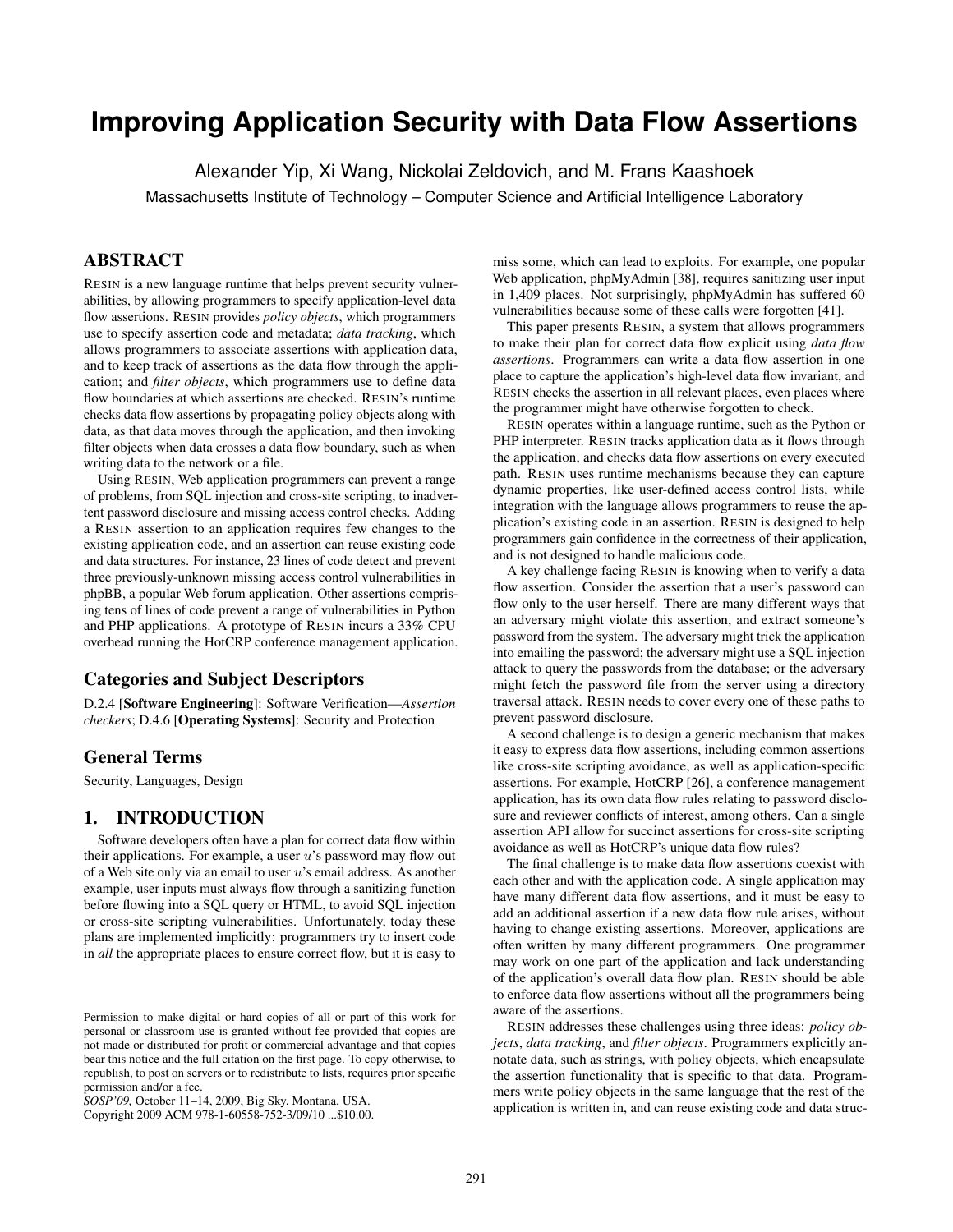# **Improving Application Security with Data Flow Assertions**

Alexander Yip, Xi Wang, Nickolai Zeldovich, and M. Frans Kaashoek

Massachusetts Institute of Technology – Computer Science and Artificial Intelligence Laboratory

# **ABSTRACT**

RESIN is a new language runtime that helps prevent security vulnerabilities, by allowing programmers to specify application-level data flow assertions. RESIN provides *policy objects*, which programmers use to specify assertion code and metadata; *data tracking*, which allows programmers to associate assertions with application data, and to keep track of assertions as the data flow through the application; and *filter objects*, which programmers use to define data flow boundaries at which assertions are checked. RESIN's runtime checks data flow assertions by propagating policy objects along with data, as that data moves through the application, and then invoking filter objects when data crosses a data flow boundary, such as when writing data to the network or a file.

Using RESIN, Web application programmers can prevent a range of problems, from SQL injection and cross-site scripting, to inadvertent password disclosure and missing access control checks. Adding a RESIN assertion to an application requires few changes to the existing application code, and an assertion can reuse existing code and data structures. For instance, 23 lines of code detect and prevent three previously-unknown missing access control vulnerabilities in phpBB, a popular Web forum application. Other assertions comprising tens of lines of code prevent a range of vulnerabilities in Python and PHP applications. A prototype of RESIN incurs a 33% CPU overhead running the HotCRP conference management application.

#### Categories and Subject Descriptors

D.2.4 [Software Engineering]: Software Verification—*Assertion checkers*; D.4.6 [Operating Systems]: Security and Protection

## General Terms

Security, Languages, Design

## 1. INTRODUCTION

Software developers often have a plan for correct data flow within their applications. For example, a user  $u$ 's password may flow out of a Web site only via an email to user  $u$ 's email address. As another example, user inputs must always flow through a sanitizing function before flowing into a SQL query or HTML, to avoid SQL injection or cross-site scripting vulnerabilities. Unfortunately, today these plans are implemented implicitly: programmers try to insert code in *all* the appropriate places to ensure correct flow, but it is easy to

Copyright 2009 ACM 978-1-60558-752-3/09/10 ...\$10.00.

miss some, which can lead to exploits. For example, one popular Web application, phpMyAdmin [38], requires sanitizing user input in 1,409 places. Not surprisingly, phpMyAdmin has suffered 60 vulnerabilities because some of these calls were forgotten [41].

This paper presents RESIN, a system that allows programmers to make their plan for correct data flow explicit using *data flow assertions*. Programmers can write a data flow assertion in one place to capture the application's high-level data flow invariant, and RESIN checks the assertion in all relevant places, even places where the programmer might have otherwise forgotten to check.

RESIN operates within a language runtime, such as the Python or PHP interpreter. RESIN tracks application data as it flows through the application, and checks data flow assertions on every executed path. RESIN uses runtime mechanisms because they can capture dynamic properties, like user-defined access control lists, while integration with the language allows programmers to reuse the application's existing code in an assertion. RESIN is designed to help programmers gain confidence in the correctness of their application, and is not designed to handle malicious code.

A key challenge facing RESIN is knowing when to verify a data flow assertion. Consider the assertion that a user's password can flow only to the user herself. There are many different ways that an adversary might violate this assertion, and extract someone's password from the system. The adversary might trick the application into emailing the password; the adversary might use a SQL injection attack to query the passwords from the database; or the adversary might fetch the password file from the server using a directory traversal attack. RESIN needs to cover every one of these paths to prevent password disclosure.

A second challenge is to design a generic mechanism that makes it easy to express data flow assertions, including common assertions like cross-site scripting avoidance, as well as application-specific assertions. For example, HotCRP [26], a conference management application, has its own data flow rules relating to password disclosure and reviewer conflicts of interest, among others. Can a single assertion API allow for succinct assertions for cross-site scripting avoidance as well as HotCRP's unique data flow rules?

The final challenge is to make data flow assertions coexist with each other and with the application code. A single application may have many different data flow assertions, and it must be easy to add an additional assertion if a new data flow rule arises, without having to change existing assertions. Moreover, applications are often written by many different programmers. One programmer may work on one part of the application and lack understanding of the application's overall data flow plan. RESIN should be able to enforce data flow assertions without all the programmers being aware of the assertions.

RESIN addresses these challenges using three ideas: *policy objects*, *data tracking*, and *filter objects*. Programmers explicitly annotate data, such as strings, with policy objects, which encapsulate the assertion functionality that is specific to that data. Programmers write policy objects in the same language that the rest of the application is written in, and can reuse existing code and data struc-

Permission to make digital or hard copies of all or part of this work for personal or classroom use is granted without fee provided that copies are not made or distributed for profit or commercial advantage and that copies bear this notice and the full citation on the first page. To copy otherwise, to republish, to post on servers or to redistribute to lists, requires prior specific permission and/or a fee.

*SOSP'09,* October 11–14, 2009, Big Sky, Montana, USA.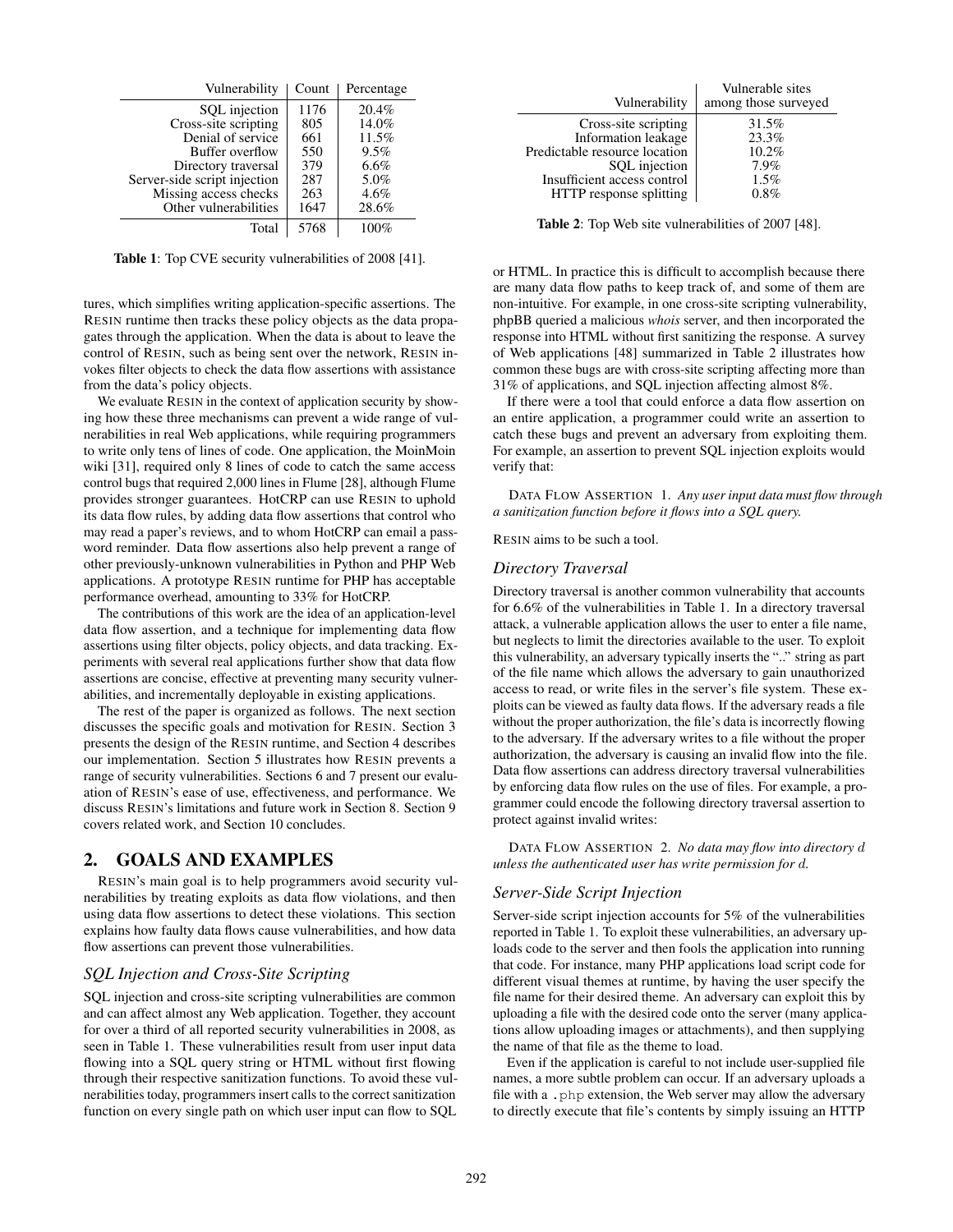| Vulnerability                | Count | Percentage |
|------------------------------|-------|------------|
| SQL injection                | 1176  | 20.4%      |
| Cross-site scripting         | 805   | 14.0%      |
| Denial of service            | 661   | 11.5%      |
| Buffer overflow              | 550   | 9.5%       |
| Directory traversal          | 379   | 6.6%       |
| Server-side script injection | 287   | 5.0%       |
| Missing access checks        | 263   | 4.6%       |
| Other vulnerabilities        | 1647  | 28.6%      |
| Total                        | 5768  | 100%       |

Table 1: Top CVE security vulnerabilities of 2008 [41].

tures, which simplifies writing application-specific assertions. The RESIN runtime then tracks these policy objects as the data propagates through the application. When the data is about to leave the control of RESIN, such as being sent over the network, RESIN invokes filter objects to check the data flow assertions with assistance from the data's policy objects.

We evaluate RESIN in the context of application security by showing how these three mechanisms can prevent a wide range of vulnerabilities in real Web applications, while requiring programmers to write only tens of lines of code. One application, the MoinMoin wiki [31], required only 8 lines of code to catch the same access control bugs that required 2,000 lines in Flume [28], although Flume provides stronger guarantees. HotCRP can use RESIN to uphold its data flow rules, by adding data flow assertions that control who may read a paper's reviews, and to whom HotCRP can email a password reminder. Data flow assertions also help prevent a range of other previously-unknown vulnerabilities in Python and PHP Web applications. A prototype RESIN runtime for PHP has acceptable performance overhead, amounting to 33% for HotCRP.

The contributions of this work are the idea of an application-level data flow assertion, and a technique for implementing data flow assertions using filter objects, policy objects, and data tracking. Experiments with several real applications further show that data flow assertions are concise, effective at preventing many security vulnerabilities, and incrementally deployable in existing applications.

The rest of the paper is organized as follows. The next section discusses the specific goals and motivation for RESIN. Section 3 presents the design of the RESIN runtime, and Section 4 describes our implementation. Section 5 illustrates how RESIN prevents a range of security vulnerabilities. Sections 6 and 7 present our evaluation of RESIN's ease of use, effectiveness, and performance. We discuss RESIN's limitations and future work in Section 8. Section 9 covers related work, and Section 10 concludes.

## 2. GOALS AND EXAMPLES

RESIN's main goal is to help programmers avoid security vulnerabilities by treating exploits as data flow violations, and then using data flow assertions to detect these violations. This section explains how faulty data flows cause vulnerabilities, and how data flow assertions can prevent those vulnerabilities.

#### *SQL Injection and Cross-Site Scripting*

SQL injection and cross-site scripting vulnerabilities are common and can affect almost any Web application. Together, they account for over a third of all reported security vulnerabilities in 2008, as seen in Table 1. These vulnerabilities result from user input data flowing into a SQL query string or HTML without first flowing through their respective sanitization functions. To avoid these vulnerabilities today, programmers insert calls to the correct sanitization function on every single path on which user input can flow to SQL

| Vulnerability                 | Vulnerable sites<br>among those surveyed |
|-------------------------------|------------------------------------------|
| Cross-site scripting          | 31.5%                                    |
| Information leakage           | 23.3%                                    |
| Predictable resource location | $10.2\%$                                 |
| SQL injection                 | $7.9\%$                                  |
| Insufficient access control   | $1.5\%$                                  |
| HTTP response splitting       | 0.8%                                     |

Table 2: Top Web site vulnerabilities of 2007 [48].

or HTML. In practice this is difficult to accomplish because there are many data flow paths to keep track of, and some of them are non-intuitive. For example, in one cross-site scripting vulnerability, phpBB queried a malicious *whois* server, and then incorporated the response into HTML without first sanitizing the response. A survey of Web applications [48] summarized in Table 2 illustrates how common these bugs are with cross-site scripting affecting more than 31% of applications, and SQL injection affecting almost 8%.

If there were a tool that could enforce a data flow assertion on an entire application, a programmer could write an assertion to catch these bugs and prevent an adversary from exploiting them. For example, an assertion to prevent SQL injection exploits would verify that:

DATA FLOW ASSERTION 1. *Any user input data must flow through a sanitization function before it flows into a SQL query.*

RESIN aims to be such a tool.

#### *Directory Traversal*

Directory traversal is another common vulnerability that accounts for 6.6% of the vulnerabilities in Table 1. In a directory traversal attack, a vulnerable application allows the user to enter a file name, but neglects to limit the directories available to the user. To exploit this vulnerability, an adversary typically inserts the ".." string as part of the file name which allows the adversary to gain unauthorized access to read, or write files in the server's file system. These exploits can be viewed as faulty data flows. If the adversary reads a file without the proper authorization, the file's data is incorrectly flowing to the adversary. If the adversary writes to a file without the proper authorization, the adversary is causing an invalid flow into the file. Data flow assertions can address directory traversal vulnerabilities by enforcing data flow rules on the use of files. For example, a programmer could encode the following directory traversal assertion to protect against invalid writes:

DATA FLOW ASSERTION 2. *No data may flow into directory* d *unless the authenticated user has write permission for* d*.*

#### *Server-Side Script Injection*

Server-side script injection accounts for 5% of the vulnerabilities reported in Table 1. To exploit these vulnerabilities, an adversary uploads code to the server and then fools the application into running that code. For instance, many PHP applications load script code for different visual themes at runtime, by having the user specify the file name for their desired theme. An adversary can exploit this by uploading a file with the desired code onto the server (many applications allow uploading images or attachments), and then supplying the name of that file as the theme to load.

Even if the application is careful to not include user-supplied file names, a more subtle problem can occur. If an adversary uploads a file with a .php extension, the Web server may allow the adversary to directly execute that file's contents by simply issuing an HTTP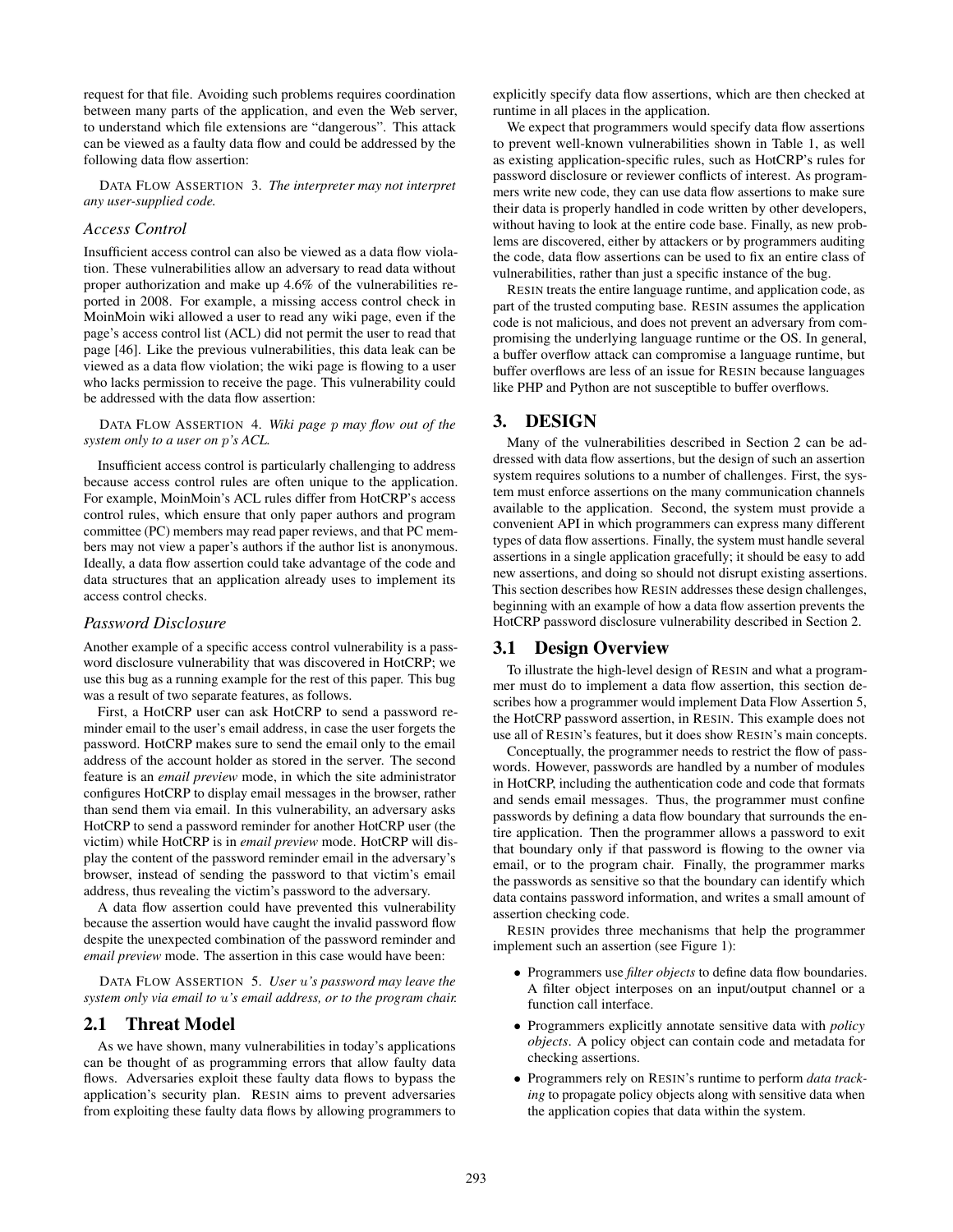request for that file. Avoiding such problems requires coordination between many parts of the application, and even the Web server, to understand which file extensions are "dangerous". This attack can be viewed as a faulty data flow and could be addressed by the following data flow assertion:

DATA FLOW ASSERTION 3. *The interpreter may not interpret any user-supplied code.*

#### *Access Control*

Insufficient access control can also be viewed as a data flow violation. These vulnerabilities allow an adversary to read data without proper authorization and make up 4.6% of the vulnerabilities reported in 2008. For example, a missing access control check in MoinMoin wiki allowed a user to read any wiki page, even if the page's access control list (ACL) did not permit the user to read that page [46]. Like the previous vulnerabilities, this data leak can be viewed as a data flow violation; the wiki page is flowing to a user who lacks permission to receive the page. This vulnerability could be addressed with the data flow assertion:

DATA FLOW ASSERTION 4. *Wiki page* p *may flow out of the system only to a user on* p*'s ACL.*

Insufficient access control is particularly challenging to address because access control rules are often unique to the application. For example, MoinMoin's ACL rules differ from HotCRP's access control rules, which ensure that only paper authors and program committee (PC) members may read paper reviews, and that PC members may not view a paper's authors if the author list is anonymous. Ideally, a data flow assertion could take advantage of the code and data structures that an application already uses to implement its access control checks.

#### *Password Disclosure*

Another example of a specific access control vulnerability is a password disclosure vulnerability that was discovered in HotCRP; we use this bug as a running example for the rest of this paper. This bug was a result of two separate features, as follows.

First, a HotCRP user can ask HotCRP to send a password reminder email to the user's email address, in case the user forgets the password. HotCRP makes sure to send the email only to the email address of the account holder as stored in the server. The second feature is an *email preview* mode, in which the site administrator configures HotCRP to display email messages in the browser, rather than send them via email. In this vulnerability, an adversary asks HotCRP to send a password reminder for another HotCRP user (the victim) while HotCRP is in *email preview* mode. HotCRP will display the content of the password reminder email in the adversary's browser, instead of sending the password to that victim's email address, thus revealing the victim's password to the adversary.

A data flow assertion could have prevented this vulnerability because the assertion would have caught the invalid password flow despite the unexpected combination of the password reminder and *email preview* mode. The assertion in this case would have been:

DATA FLOW ASSERTION 5. *User* u*'s password may leave the system only via email to* u*'s email address, or to the program chair.*

#### 2.1 Threat Model

As we have shown, many vulnerabilities in today's applications can be thought of as programming errors that allow faulty data flows. Adversaries exploit these faulty data flows to bypass the application's security plan. RESIN aims to prevent adversaries from exploiting these faulty data flows by allowing programmers to explicitly specify data flow assertions, which are then checked at runtime in all places in the application.

We expect that programmers would specify data flow assertions to prevent well-known vulnerabilities shown in Table 1, as well as existing application-specific rules, such as HotCRP's rules for password disclosure or reviewer conflicts of interest. As programmers write new code, they can use data flow assertions to make sure their data is properly handled in code written by other developers, without having to look at the entire code base. Finally, as new problems are discovered, either by attackers or by programmers auditing the code, data flow assertions can be used to fix an entire class of vulnerabilities, rather than just a specific instance of the bug.

RESIN treats the entire language runtime, and application code, as part of the trusted computing base. RESIN assumes the application code is not malicious, and does not prevent an adversary from compromising the underlying language runtime or the OS. In general, a buffer overflow attack can compromise a language runtime, but buffer overflows are less of an issue for RESIN because languages like PHP and Python are not susceptible to buffer overflows.

## 3. DESIGN

Many of the vulnerabilities described in Section 2 can be addressed with data flow assertions, but the design of such an assertion system requires solutions to a number of challenges. First, the system must enforce assertions on the many communication channels available to the application. Second, the system must provide a convenient API in which programmers can express many different types of data flow assertions. Finally, the system must handle several assertions in a single application gracefully; it should be easy to add new assertions, and doing so should not disrupt existing assertions. This section describes how RESIN addresses these design challenges, beginning with an example of how a data flow assertion prevents the HotCRP password disclosure vulnerability described in Section 2.

## 3.1 Design Overview

To illustrate the high-level design of RESIN and what a programmer must do to implement a data flow assertion, this section describes how a programmer would implement Data Flow Assertion 5, the HotCRP password assertion, in RESIN. This example does not use all of RESIN's features, but it does show RESIN's main concepts.

Conceptually, the programmer needs to restrict the flow of passwords. However, passwords are handled by a number of modules in HotCRP, including the authentication code and code that formats and sends email messages. Thus, the programmer must confine passwords by defining a data flow boundary that surrounds the entire application. Then the programmer allows a password to exit that boundary only if that password is flowing to the owner via email, or to the program chair. Finally, the programmer marks the passwords as sensitive so that the boundary can identify which data contains password information, and writes a small amount of assertion checking code.

RESIN provides three mechanisms that help the programmer implement such an assertion (see Figure 1):

- Programmers use *filter objects* to define data flow boundaries. A filter object interposes on an input/output channel or a function call interface.
- Programmers explicitly annotate sensitive data with *policy objects*. A policy object can contain code and metadata for checking assertions.
- Programmers rely on RESIN's runtime to perform *data tracking* to propagate policy objects along with sensitive data when the application copies that data within the system.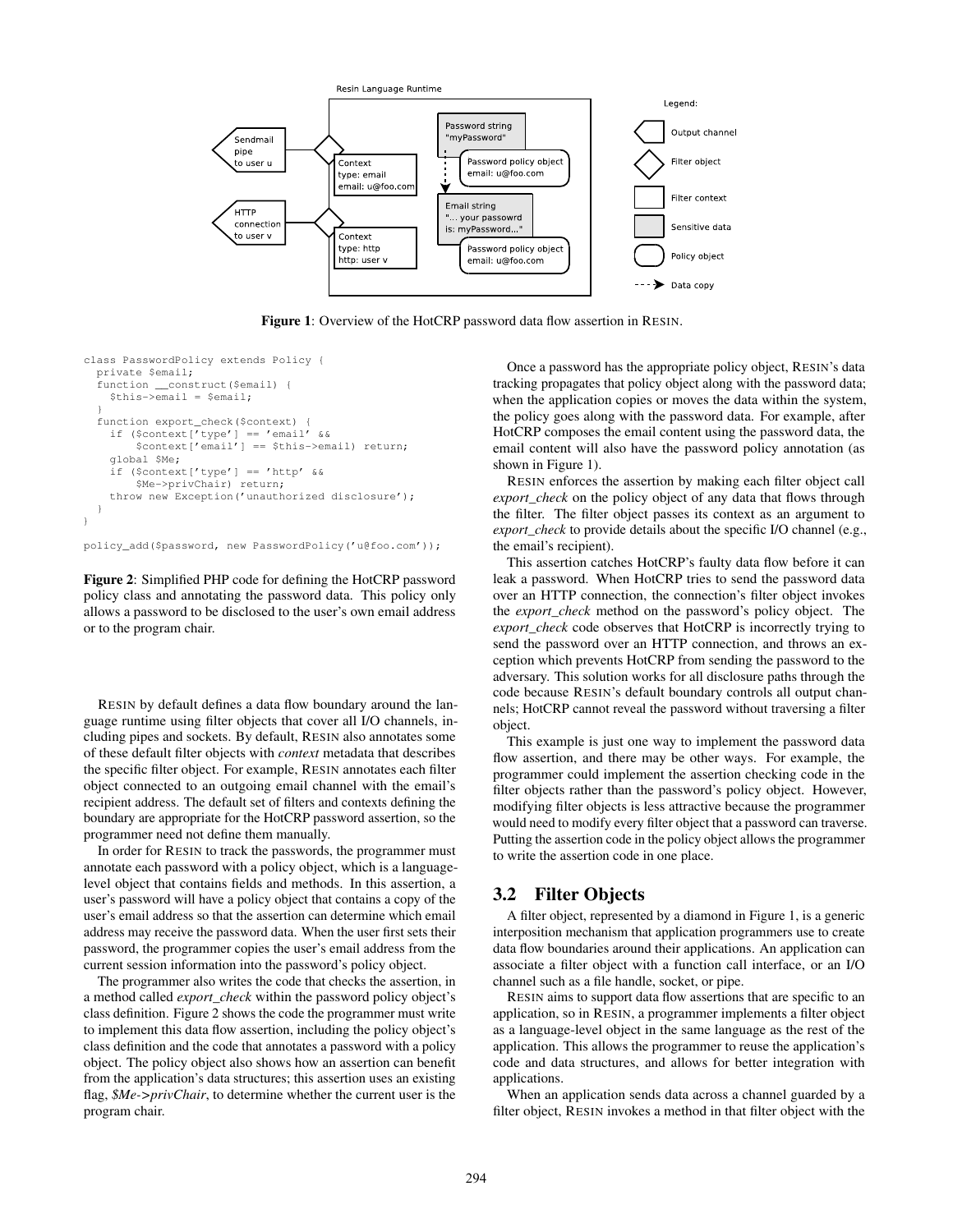

Figure 1: Overview of the HotCRP password data flow assertion in RESIN.

```
class PasswordPolicy extends Policy {
 private $email;
  function __construct($email) {
    $this->email = $email;
  }
  function export_check($context) {
    if (\text{Scontext}[\text{type'}] == \text{'email'} \&\&$context['email'] == $this->email) return;
    global $Me;
    if ($context['type'] == 'http' &&
         $Me->privChair) return;
    throw new Exception('unauthorized disclosure');
  }
}
```
policy\_add(\$password, new PasswordPolicy('u@foo.com'));

Figure 2: Simplified PHP code for defining the HotCRP password policy class and annotating the password data. This policy only allows a password to be disclosed to the user's own email address or to the program chair.

RESIN by default defines a data flow boundary around the language runtime using filter objects that cover all I/O channels, including pipes and sockets. By default, RESIN also annotates some of these default filter objects with *context* metadata that describes the specific filter object. For example, RESIN annotates each filter object connected to an outgoing email channel with the email's recipient address. The default set of filters and contexts defining the boundary are appropriate for the HotCRP password assertion, so the programmer need not define them manually.

In order for RESIN to track the passwords, the programmer must annotate each password with a policy object, which is a languagelevel object that contains fields and methods. In this assertion, a user's password will have a policy object that contains a copy of the user's email address so that the assertion can determine which email address may receive the password data. When the user first sets their password, the programmer copies the user's email address from the current session information into the password's policy object.

The programmer also writes the code that checks the assertion, in a method called *export\_check* within the password policy object's class definition. Figure 2 shows the code the programmer must write to implement this data flow assertion, including the policy object's class definition and the code that annotates a password with a policy object. The policy object also shows how an assertion can benefit from the application's data structures; this assertion uses an existing flag, *\$Me->privChair*, to determine whether the current user is the program chair.

Once a password has the appropriate policy object, RESIN's data tracking propagates that policy object along with the password data; when the application copies or moves the data within the system, the policy goes along with the password data. For example, after HotCRP composes the email content using the password data, the email content will also have the password policy annotation (as shown in Figure 1).

RESIN enforces the assertion by making each filter object call *export\_check* on the policy object of any data that flows through the filter. The filter object passes its context as an argument to *export\_check* to provide details about the specific I/O channel (e.g., the email's recipient).

This assertion catches HotCRP's faulty data flow before it can leak a password. When HotCRP tries to send the password data over an HTTP connection, the connection's filter object invokes the *export\_check* method on the password's policy object. The *export\_check* code observes that HotCRP is incorrectly trying to send the password over an HTTP connection, and throws an exception which prevents HotCRP from sending the password to the adversary. This solution works for all disclosure paths through the code because RESIN's default boundary controls all output channels; HotCRP cannot reveal the password without traversing a filter object.

This example is just one way to implement the password data flow assertion, and there may be other ways. For example, the programmer could implement the assertion checking code in the filter objects rather than the password's policy object. However, modifying filter objects is less attractive because the programmer would need to modify every filter object that a password can traverse. Putting the assertion code in the policy object allows the programmer to write the assertion code in one place.

## 3.2 Filter Objects

A filter object, represented by a diamond in Figure 1, is a generic interposition mechanism that application programmers use to create data flow boundaries around their applications. An application can associate a filter object with a function call interface, or an I/O channel such as a file handle, socket, or pipe.

RESIN aims to support data flow assertions that are specific to an application, so in RESIN, a programmer implements a filter object as a language-level object in the same language as the rest of the application. This allows the programmer to reuse the application's code and data structures, and allows for better integration with applications.

When an application sends data across a channel guarded by a filter object, RESIN invokes a method in that filter object with the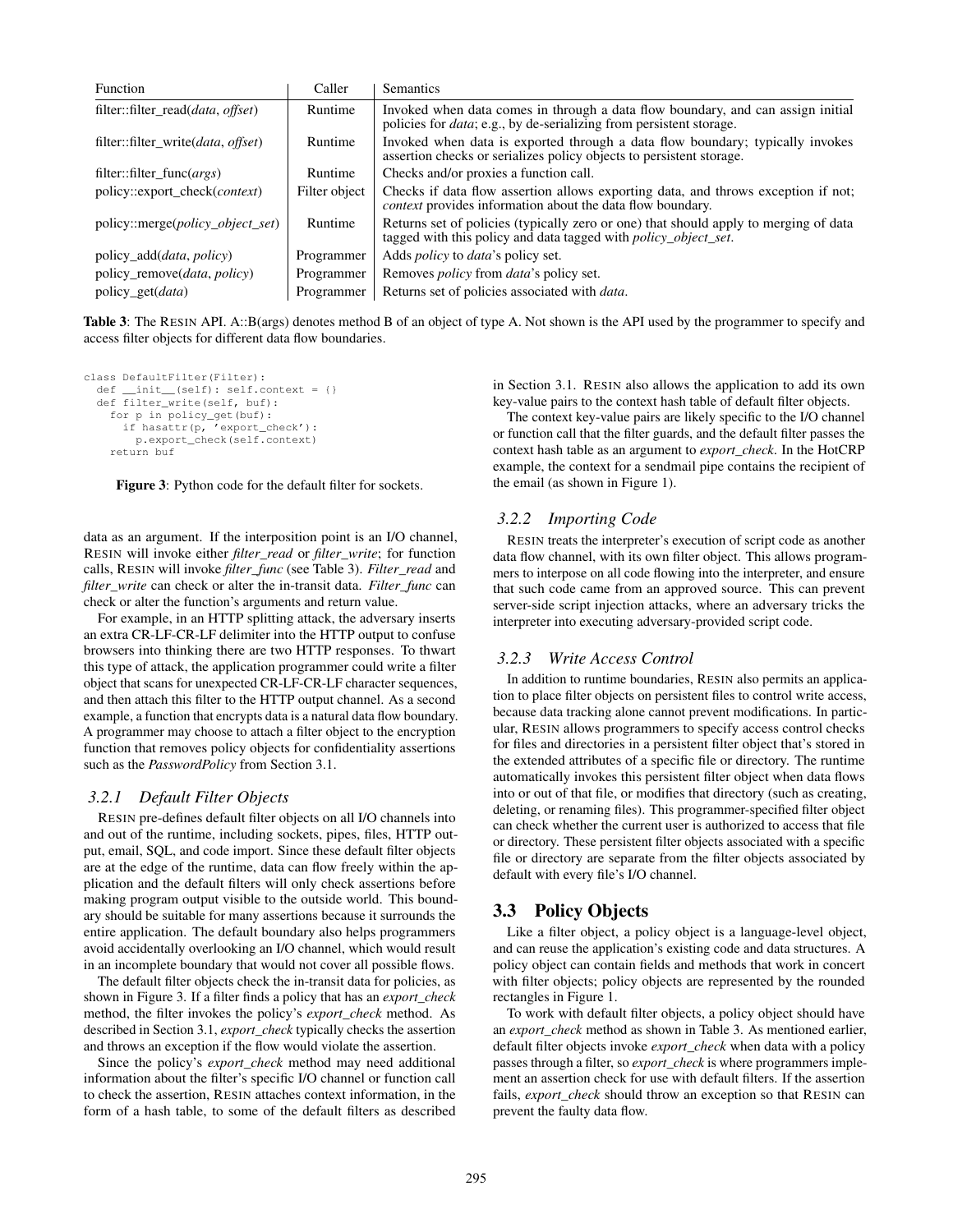| <b>Function</b>                             | Caller        | <b>Semantics</b>                                                                                                                                                |
|---------------------------------------------|---------------|-----------------------------------------------------------------------------------------------------------------------------------------------------------------|
| filter::filter_read( <i>data, offset</i> )  | Runtime       | Invoked when data comes in through a data flow boundary, and can assign initial<br>policies for <i>data</i> ; e.g., by de-serializing from persistent storage.  |
| filter::filter_write( <i>data, offset</i> ) | Runtime       | Invoked when data is exported through a data flow boundary; typically invokes<br>assertion checks or serializes policy objects to persistent storage.           |
| filter::filter_func( <i>args</i> )          | Runtime       | Checks and/or proxies a function call.                                                                                                                          |
| policy::export_check( <i>context</i> )      | Filter object | Checks if data flow assertion allows exporting data, and throws exception if not;<br><i>context</i> provides information about the data flow boundary.          |
| policy::merge( <i>policy_object_set</i> )   | Runtime       | Returns set of policies (typically zero or one) that should apply to merging of data<br>tagged with this policy and data tagged with <i>policy_object_set</i> . |
| policy_add( <i>data, policy</i> )           | Programmer    | Adds <i>policy</i> to <i>data</i> 's policy set.                                                                                                                |
| policy_remove( <i>data, policy</i> )        | Programmer    | Removes <i>policy</i> from <i>data's</i> policy set.                                                                                                            |
| policy_get( <i>data</i> )                   | Programmer    | Returns set of policies associated with <i>data</i> .                                                                                                           |

Table 3: The RESIN API. A::B(args) denotes method B of an object of type A. Not shown is the API used by the programmer to specify and access filter objects for different data flow boundaries.

```
class DefaultFilter(Filter):
  def __init__(self): self.context = {}
  def filter_write(self, buf):
    for p in policy_get(buf):
     if hasattr(p, 'export_check'):
       p.export_check(self.context)
    return buf
```


data as an argument. If the interposition point is an I/O channel, RESIN will invoke either *filter\_read* or *filter\_write*; for function calls, RESIN will invoke *filter\_func* (see Table 3). *Filter\_read* and *filter\_write* can check or alter the in-transit data. *Filter\_func* can check or alter the function's arguments and return value.

For example, in an HTTP splitting attack, the adversary inserts an extra CR-LF-CR-LF delimiter into the HTTP output to confuse browsers into thinking there are two HTTP responses. To thwart this type of attack, the application programmer could write a filter object that scans for unexpected CR-LF-CR-LF character sequences, and then attach this filter to the HTTP output channel. As a second example, a function that encrypts data is a natural data flow boundary. A programmer may choose to attach a filter object to the encryption function that removes policy objects for confidentiality assertions such as the *PasswordPolicy* from Section 3.1.

#### *3.2.1 Default Filter Objects*

RESIN pre-defines default filter objects on all I/O channels into and out of the runtime, including sockets, pipes, files, HTTP output, email, SQL, and code import. Since these default filter objects are at the edge of the runtime, data can flow freely within the application and the default filters will only check assertions before making program output visible to the outside world. This boundary should be suitable for many assertions because it surrounds the entire application. The default boundary also helps programmers avoid accidentally overlooking an I/O channel, which would result in an incomplete boundary that would not cover all possible flows.

The default filter objects check the in-transit data for policies, as shown in Figure 3. If a filter finds a policy that has an *export\_check* method, the filter invokes the policy's *export\_check* method. As described in Section 3.1, *export\_check* typically checks the assertion and throws an exception if the flow would violate the assertion.

Since the policy's *export\_check* method may need additional information about the filter's specific I/O channel or function call to check the assertion, RESIN attaches context information, in the form of a hash table, to some of the default filters as described

in Section 3.1. RESIN also allows the application to add its own key-value pairs to the context hash table of default filter objects.

The context key-value pairs are likely specific to the I/O channel or function call that the filter guards, and the default filter passes the context hash table as an argument to *export\_check*. In the HotCRP example, the context for a sendmail pipe contains the recipient of the email (as shown in Figure 1).

#### *3.2.2 Importing Code*

RESIN treats the interpreter's execution of script code as another data flow channel, with its own filter object. This allows programmers to interpose on all code flowing into the interpreter, and ensure that such code came from an approved source. This can prevent server-side script injection attacks, where an adversary tricks the interpreter into executing adversary-provided script code.

#### *3.2.3 Write Access Control*

In addition to runtime boundaries, RESIN also permits an application to place filter objects on persistent files to control write access, because data tracking alone cannot prevent modifications. In particular, RESIN allows programmers to specify access control checks for files and directories in a persistent filter object that's stored in the extended attributes of a specific file or directory. The runtime automatically invokes this persistent filter object when data flows into or out of that file, or modifies that directory (such as creating, deleting, or renaming files). This programmer-specified filter object can check whether the current user is authorized to access that file or directory. These persistent filter objects associated with a specific file or directory are separate from the filter objects associated by default with every file's I/O channel.

#### 3.3 Policy Objects

Like a filter object, a policy object is a language-level object, and can reuse the application's existing code and data structures. A policy object can contain fields and methods that work in concert with filter objects; policy objects are represented by the rounded rectangles in Figure 1.

To work with default filter objects, a policy object should have an *export\_check* method as shown in Table 3. As mentioned earlier, default filter objects invoke *export\_check* when data with a policy passes through a filter, so *export\_check* is where programmers implement an assertion check for use with default filters. If the assertion fails, *export\_check* should throw an exception so that RESIN can prevent the faulty data flow.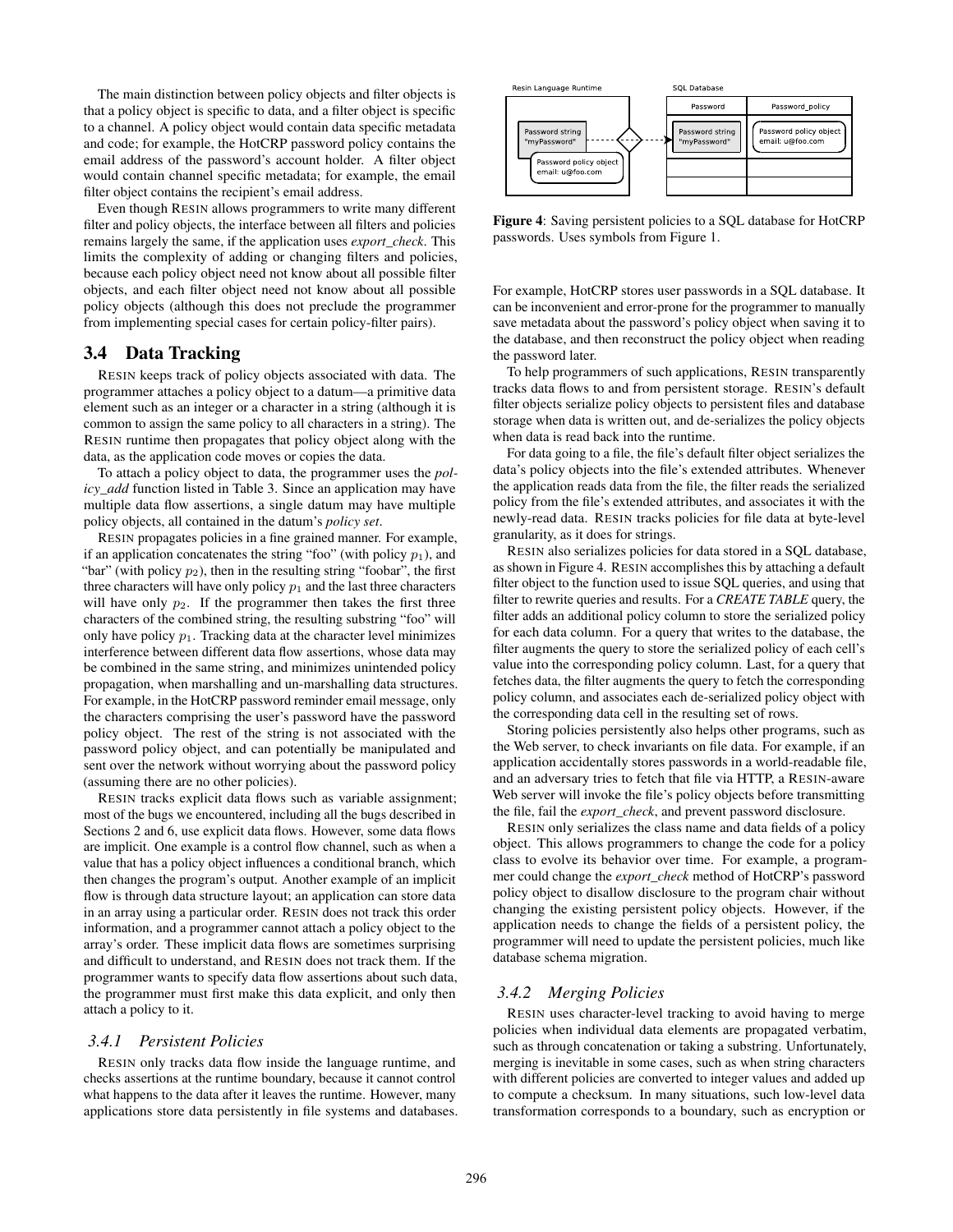The main distinction between policy objects and filter objects is that a policy object is specific to data, and a filter object is specific to a channel. A policy object would contain data specific metadata and code; for example, the HotCRP password policy contains the email address of the password's account holder. A filter object would contain channel specific metadata; for example, the email filter object contains the recipient's email address.

Even though RESIN allows programmers to write many different filter and policy objects, the interface between all filters and policies remains largely the same, if the application uses *export\_check*. This limits the complexity of adding or changing filters and policies, because each policy object need not know about all possible filter objects, and each filter object need not know about all possible policy objects (although this does not preclude the programmer from implementing special cases for certain policy-filter pairs).

## 3.4 Data Tracking

RESIN keeps track of policy objects associated with data. The programmer attaches a policy object to a datum—a primitive data element such as an integer or a character in a string (although it is common to assign the same policy to all characters in a string). The RESIN runtime then propagates that policy object along with the data, as the application code moves or copies the data.

To attach a policy object to data, the programmer uses the *policy\_add* function listed in Table 3. Since an application may have multiple data flow assertions, a single datum may have multiple policy objects, all contained in the datum's *policy set*.

RESIN propagates policies in a fine grained manner. For example, if an application concatenates the string "foo" (with policy  $p_1$ ), and "bar" (with policy  $p_2$ ), then in the resulting string "foobar", the first three characters will have only policy  $p_1$  and the last three characters will have only  $p_2$ . If the programmer then takes the first three characters of the combined string, the resulting substring "foo" will only have policy  $p_1$ . Tracking data at the character level minimizes interference between different data flow assertions, whose data may be combined in the same string, and minimizes unintended policy propagation, when marshalling and un-marshalling data structures. For example, in the HotCRP password reminder email message, only the characters comprising the user's password have the password policy object. The rest of the string is not associated with the password policy object, and can potentially be manipulated and sent over the network without worrying about the password policy (assuming there are no other policies).

RESIN tracks explicit data flows such as variable assignment; most of the bugs we encountered, including all the bugs described in Sections 2 and 6, use explicit data flows. However, some data flows are implicit. One example is a control flow channel, such as when a value that has a policy object influences a conditional branch, which then changes the program's output. Another example of an implicit flow is through data structure layout; an application can store data in an array using a particular order. RESIN does not track this order information, and a programmer cannot attach a policy object to the array's order. These implicit data flows are sometimes surprising and difficult to understand, and RESIN does not track them. If the programmer wants to specify data flow assertions about such data, the programmer must first make this data explicit, and only then attach a policy to it.

#### *3.4.1 Persistent Policies*

RESIN only tracks data flow inside the language runtime, and checks assertions at the runtime boundary, because it cannot control what happens to the data after it leaves the runtime. However, many applications store data persistently in file systems and databases.



Figure 4: Saving persistent policies to a SQL database for HotCRP passwords. Uses symbols from Figure 1.

For example, HotCRP stores user passwords in a SQL database. It can be inconvenient and error-prone for the programmer to manually save metadata about the password's policy object when saving it to the database, and then reconstruct the policy object when reading the password later.

To help programmers of such applications, RESIN transparently tracks data flows to and from persistent storage. RESIN's default filter objects serialize policy objects to persistent files and database storage when data is written out, and de-serializes the policy objects when data is read back into the runtime.

For data going to a file, the file's default filter object serializes the data's policy objects into the file's extended attributes. Whenever the application reads data from the file, the filter reads the serialized policy from the file's extended attributes, and associates it with the newly-read data. RESIN tracks policies for file data at byte-level granularity, as it does for strings.

RESIN also serializes policies for data stored in a SQL database, as shown in Figure 4. RESIN accomplishes this by attaching a default filter object to the function used to issue SQL queries, and using that filter to rewrite queries and results. For a *CREATE TABLE* query, the filter adds an additional policy column to store the serialized policy for each data column. For a query that writes to the database, the filter augments the query to store the serialized policy of each cell's value into the corresponding policy column. Last, for a query that fetches data, the filter augments the query to fetch the corresponding policy column, and associates each de-serialized policy object with the corresponding data cell in the resulting set of rows.

Storing policies persistently also helps other programs, such as the Web server, to check invariants on file data. For example, if an application accidentally stores passwords in a world-readable file, and an adversary tries to fetch that file via HTTP, a RESIN-aware Web server will invoke the file's policy objects before transmitting the file, fail the *export\_check*, and prevent password disclosure.

RESIN only serializes the class name and data fields of a policy object. This allows programmers to change the code for a policy class to evolve its behavior over time. For example, a programmer could change the *export\_check* method of HotCRP's password policy object to disallow disclosure to the program chair without changing the existing persistent policy objects. However, if the application needs to change the fields of a persistent policy, the programmer will need to update the persistent policies, much like database schema migration.

#### *3.4.2 Merging Policies*

RESIN uses character-level tracking to avoid having to merge policies when individual data elements are propagated verbatim, such as through concatenation or taking a substring. Unfortunately, merging is inevitable in some cases, such as when string characters with different policies are converted to integer values and added up to compute a checksum. In many situations, such low-level data transformation corresponds to a boundary, such as encryption or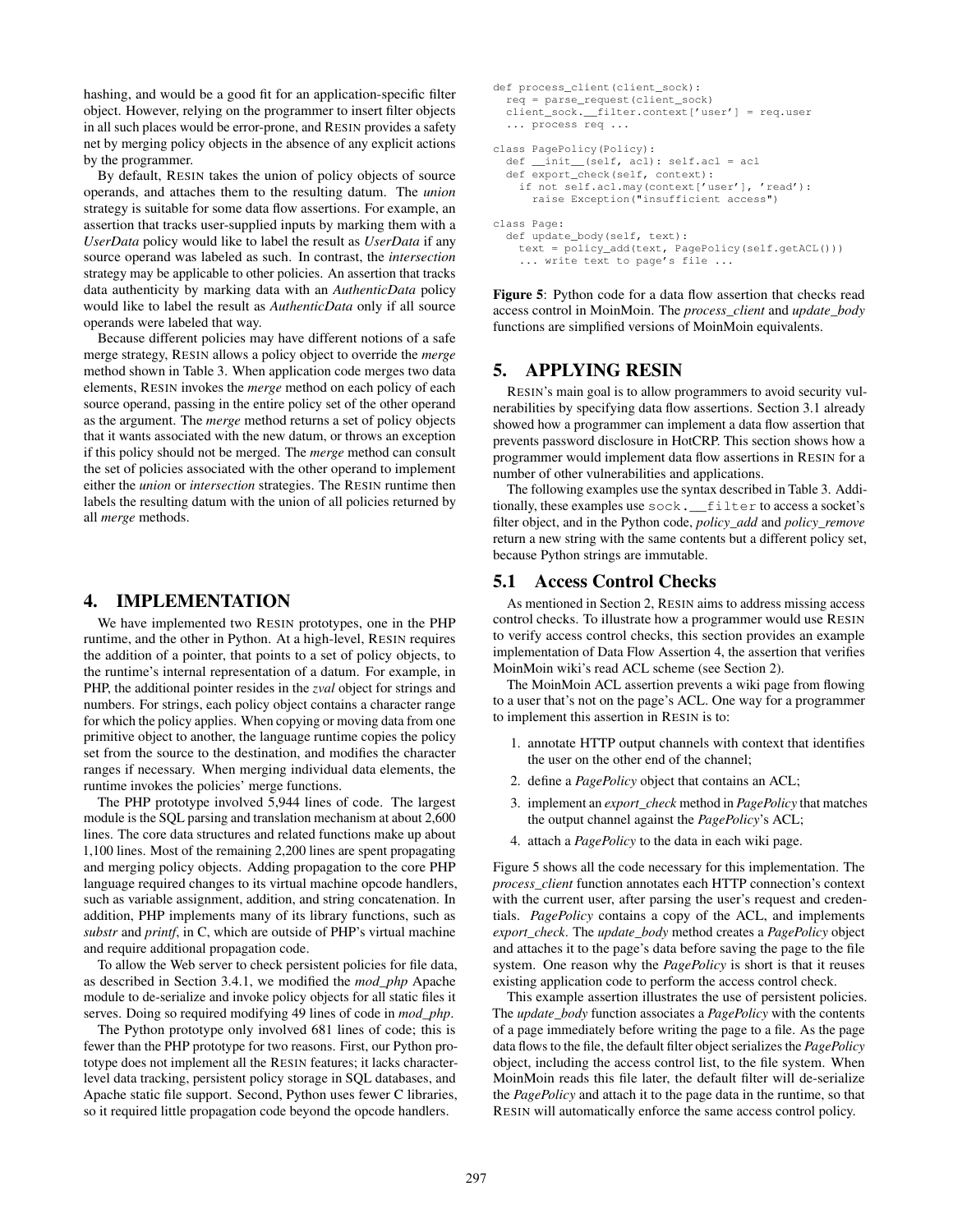hashing, and would be a good fit for an application-specific filter object. However, relying on the programmer to insert filter objects in all such places would be error-prone, and RESIN provides a safety net by merging policy objects in the absence of any explicit actions by the programmer.

By default, RESIN takes the union of policy objects of source operands, and attaches them to the resulting datum. The *union* strategy is suitable for some data flow assertions. For example, an assertion that tracks user-supplied inputs by marking them with a *UserData* policy would like to label the result as *UserData* if any source operand was labeled as such. In contrast, the *intersection* strategy may be applicable to other policies. An assertion that tracks data authenticity by marking data with an *AuthenticData* policy would like to label the result as *AuthenticData* only if all source operands were labeled that way.

Because different policies may have different notions of a safe merge strategy, RESIN allows a policy object to override the *merge* method shown in Table 3. When application code merges two data elements, RESIN invokes the *merge* method on each policy of each source operand, passing in the entire policy set of the other operand as the argument. The *merge* method returns a set of policy objects that it wants associated with the new datum, or throws an exception if this policy should not be merged. The *merge* method can consult the set of policies associated with the other operand to implement either the *union* or *intersection* strategies. The RESIN runtime then labels the resulting datum with the union of all policies returned by all *merge* methods.

## 4. IMPLEMENTATION

We have implemented two RESIN prototypes, one in the PHP runtime, and the other in Python. At a high-level, RESIN requires the addition of a pointer, that points to a set of policy objects, to the runtime's internal representation of a datum. For example, in PHP, the additional pointer resides in the *zval* object for strings and numbers. For strings, each policy object contains a character range for which the policy applies. When copying or moving data from one primitive object to another, the language runtime copies the policy set from the source to the destination, and modifies the character ranges if necessary. When merging individual data elements, the runtime invokes the policies' merge functions.

The PHP prototype involved 5,944 lines of code. The largest module is the SQL parsing and translation mechanism at about 2,600 lines. The core data structures and related functions make up about 1,100 lines. Most of the remaining 2,200 lines are spent propagating and merging policy objects. Adding propagation to the core PHP language required changes to its virtual machine opcode handlers, such as variable assignment, addition, and string concatenation. In addition, PHP implements many of its library functions, such as *substr* and *printf*, in C, which are outside of PHP's virtual machine and require additional propagation code.

To allow the Web server to check persistent policies for file data, as described in Section 3.4.1, we modified the *mod\_php* Apache module to de-serialize and invoke policy objects for all static files it serves. Doing so required modifying 49 lines of code in *mod\_php*.

The Python prototype only involved 681 lines of code; this is fewer than the PHP prototype for two reasons. First, our Python prototype does not implement all the RESIN features; it lacks characterlevel data tracking, persistent policy storage in SQL databases, and Apache static file support. Second, Python uses fewer C libraries, so it required little propagation code beyond the opcode handlers.

```
def process_client(client_sock):
  r = \text{parse} request(client_sock)
  client_sock.__filter.context['user'] = req.user
  ... process req ...
class PagePolicy(Policy):
  def __init__(self, acl): self.acl = acl
  def export_check(self, context):
    if not self.acl.may(context['user'], 'read'):
      raise Exception("insufficient access")
class Page:
  def update_body(self, text):
    text = policy_add(text, PagePolicy(self.getACL()))
... write text to page's file ...
```
Figure 5: Python code for a data flow assertion that checks read access control in MoinMoin. The *process\_client* and *update\_body* functions are simplified versions of MoinMoin equivalents.

## 5. APPLYING RESIN

RESIN's main goal is to allow programmers to avoid security vulnerabilities by specifying data flow assertions. Section 3.1 already showed how a programmer can implement a data flow assertion that prevents password disclosure in HotCRP. This section shows how a programmer would implement data flow assertions in RESIN for a number of other vulnerabilities and applications.

The following examples use the syntax described in Table 3. Additionally, these examples use sock.\_\_filter to access a socket's filter object, and in the Python code, *policy\_add* and *policy\_remove* return a new string with the same contents but a different policy set, because Python strings are immutable.

#### 5.1 Access Control Checks

As mentioned in Section 2, RESIN aims to address missing access control checks. To illustrate how a programmer would use RESIN to verify access control checks, this section provides an example implementation of Data Flow Assertion 4, the assertion that verifies MoinMoin wiki's read ACL scheme (see Section 2).

The MoinMoin ACL assertion prevents a wiki page from flowing to a user that's not on the page's ACL. One way for a programmer to implement this assertion in RESIN is to:

- 1. annotate HTTP output channels with context that identifies the user on the other end of the channel;
- 2. define a *PagePolicy* object that contains an ACL;
- 3. implement an *export\_check* method in *PagePolicy* that matches the output channel against the *PagePolicy*'s ACL;
- 4. attach a *PagePolicy* to the data in each wiki page.

Figure 5 shows all the code necessary for this implementation. The *process\_client* function annotates each HTTP connection's context with the current user, after parsing the user's request and credentials. *PagePolicy* contains a copy of the ACL, and implements *export\_check*. The *update\_body* method creates a *PagePolicy* object and attaches it to the page's data before saving the page to the file system. One reason why the *PagePolicy* is short is that it reuses existing application code to perform the access control check.

This example assertion illustrates the use of persistent policies. The *update\_body* function associates a *PagePolicy* with the contents of a page immediately before writing the page to a file. As the page data flows to the file, the default filter object serializes the *PagePolicy* object, including the access control list, to the file system. When MoinMoin reads this file later, the default filter will de-serialize the *PagePolicy* and attach it to the page data in the runtime, so that RESIN will automatically enforce the same access control policy.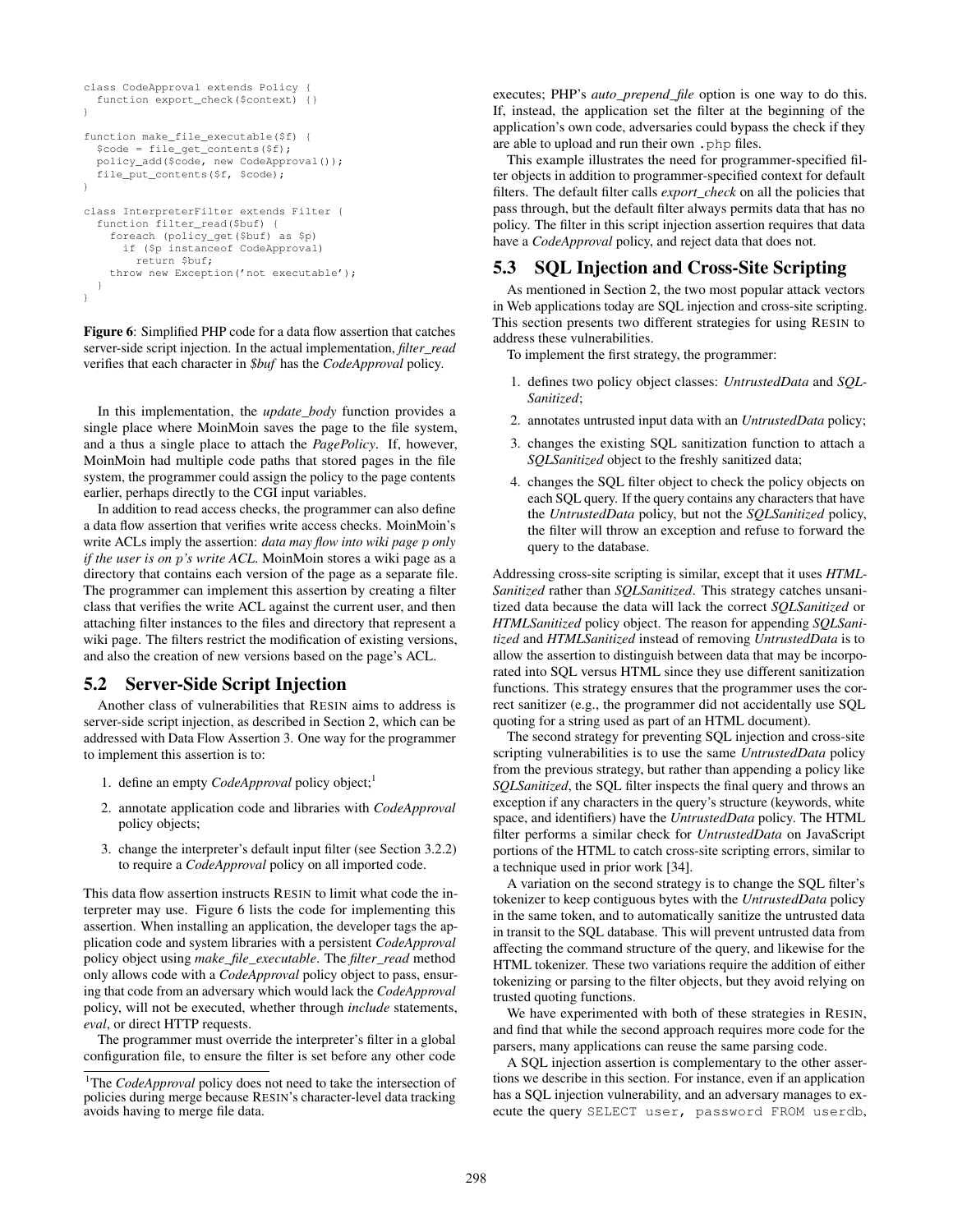```
class CodeApproval extends Policy {
  function export_check($context) {}
}
function make_file_executable($f) {
  $code = file_get_contents($f);
 policy_add($code, new CodeApproval());
  file_put_contents($f, $code);
}
class InterpreterFilter extends Filter {
  function filter_read($buf) {
    foreach (policy_get($buf) as $p)
      if ($p instanceof CodeApproval)
       return $buf;
    throw new Exception('not executable');
  }
}
```
Figure 6: Simplified PHP code for a data flow assertion that catches server-side script injection. In the actual implementation, *filter\_read* verifies that each character in *\$buf* has the *CodeApproval* policy.

In this implementation, the *update\_body* function provides a single place where MoinMoin saves the page to the file system, and a thus a single place to attach the *PagePolicy*. If, however, MoinMoin had multiple code paths that stored pages in the file system, the programmer could assign the policy to the page contents earlier, perhaps directly to the CGI input variables.

In addition to read access checks, the programmer can also define a data flow assertion that verifies write access checks. MoinMoin's write ACLs imply the assertion: *data may flow into wiki page* p *only if the user is on* p*'s write ACL*. MoinMoin stores a wiki page as a directory that contains each version of the page as a separate file. The programmer can implement this assertion by creating a filter class that verifies the write ACL against the current user, and then attaching filter instances to the files and directory that represent a wiki page. The filters restrict the modification of existing versions, and also the creation of new versions based on the page's ACL.

## 5.2 Server-Side Script Injection

Another class of vulnerabilities that RESIN aims to address is server-side script injection, as described in Section 2, which can be addressed with Data Flow Assertion 3. One way for the programmer to implement this assertion is to:

- 1. define an empty *CodeApproval* policy object;<sup>1</sup>
- 2. annotate application code and libraries with *CodeApproval* policy objects;
- 3. change the interpreter's default input filter (see Section 3.2.2) to require a *CodeApproval* policy on all imported code.

This data flow assertion instructs RESIN to limit what code the interpreter may use. Figure 6 lists the code for implementing this assertion. When installing an application, the developer tags the application code and system libraries with a persistent *CodeApproval* policy object using *make\_file\_executable*. The *filter\_read* method only allows code with a *CodeApproval* policy object to pass, ensuring that code from an adversary which would lack the *CodeApproval* policy, will not be executed, whether through *include* statements, *eval*, or direct HTTP requests.

The programmer must override the interpreter's filter in a global configuration file, to ensure the filter is set before any other code

executes; PHP's *auto\_prepend\_file* option is one way to do this. If, instead, the application set the filter at the beginning of the application's own code, adversaries could bypass the check if they are able to upload and run their own .php files.

This example illustrates the need for programmer-specified filter objects in addition to programmer-specified context for default filters. The default filter calls *export\_check* on all the policies that pass through, but the default filter always permits data that has no policy. The filter in this script injection assertion requires that data have a *CodeApproval* policy, and reject data that does not.

## 5.3 SQL Injection and Cross-Site Scripting

As mentioned in Section 2, the two most popular attack vectors in Web applications today are SQL injection and cross-site scripting. This section presents two different strategies for using RESIN to address these vulnerabilities.

To implement the first strategy, the programmer:

- 1. defines two policy object classes: *UntrustedData* and *SQL-Sanitized*;
- 2. annotates untrusted input data with an *UntrustedData* policy;
- 3. changes the existing SQL sanitization function to attach a *SQLSanitized* object to the freshly sanitized data;
- 4. changes the SQL filter object to check the policy objects on each SQL query. If the query contains any characters that have the *UntrustedData* policy, but not the *SQLSanitized* policy, the filter will throw an exception and refuse to forward the query to the database.

Addressing cross-site scripting is similar, except that it uses *HTML-Sanitized* rather than *SQLSanitized*. This strategy catches unsanitized data because the data will lack the correct *SQLSanitized* or *HTMLSanitized* policy object. The reason for appending *SQLSanitized* and *HTMLSanitized* instead of removing *UntrustedData* is to allow the assertion to distinguish between data that may be incorporated into SQL versus HTML since they use different sanitization functions. This strategy ensures that the programmer uses the correct sanitizer (e.g., the programmer did not accidentally use SQL quoting for a string used as part of an HTML document).

The second strategy for preventing SQL injection and cross-site scripting vulnerabilities is to use the same *UntrustedData* policy from the previous strategy, but rather than appending a policy like *SQLSanitized*, the SQL filter inspects the final query and throws an exception if any characters in the query's structure (keywords, white space, and identifiers) have the *UntrustedData* policy. The HTML filter performs a similar check for *UntrustedData* on JavaScript portions of the HTML to catch cross-site scripting errors, similar to a technique used in prior work [34].

A variation on the second strategy is to change the SQL filter's tokenizer to keep contiguous bytes with the *UntrustedData* policy in the same token, and to automatically sanitize the untrusted data in transit to the SQL database. This will prevent untrusted data from affecting the command structure of the query, and likewise for the HTML tokenizer. These two variations require the addition of either tokenizing or parsing to the filter objects, but they avoid relying on trusted quoting functions.

We have experimented with both of these strategies in RESIN, and find that while the second approach requires more code for the parsers, many applications can reuse the same parsing code.

A SQL injection assertion is complementary to the other assertions we describe in this section. For instance, even if an application has a SQL injection vulnerability, and an adversary manages to execute the query SELECT user, password FROM userdb,

<sup>&</sup>lt;sup>1</sup>The *CodeApproval* policy does not need to take the intersection of policies during merge because RESIN's character-level data tracking avoids having to merge file data.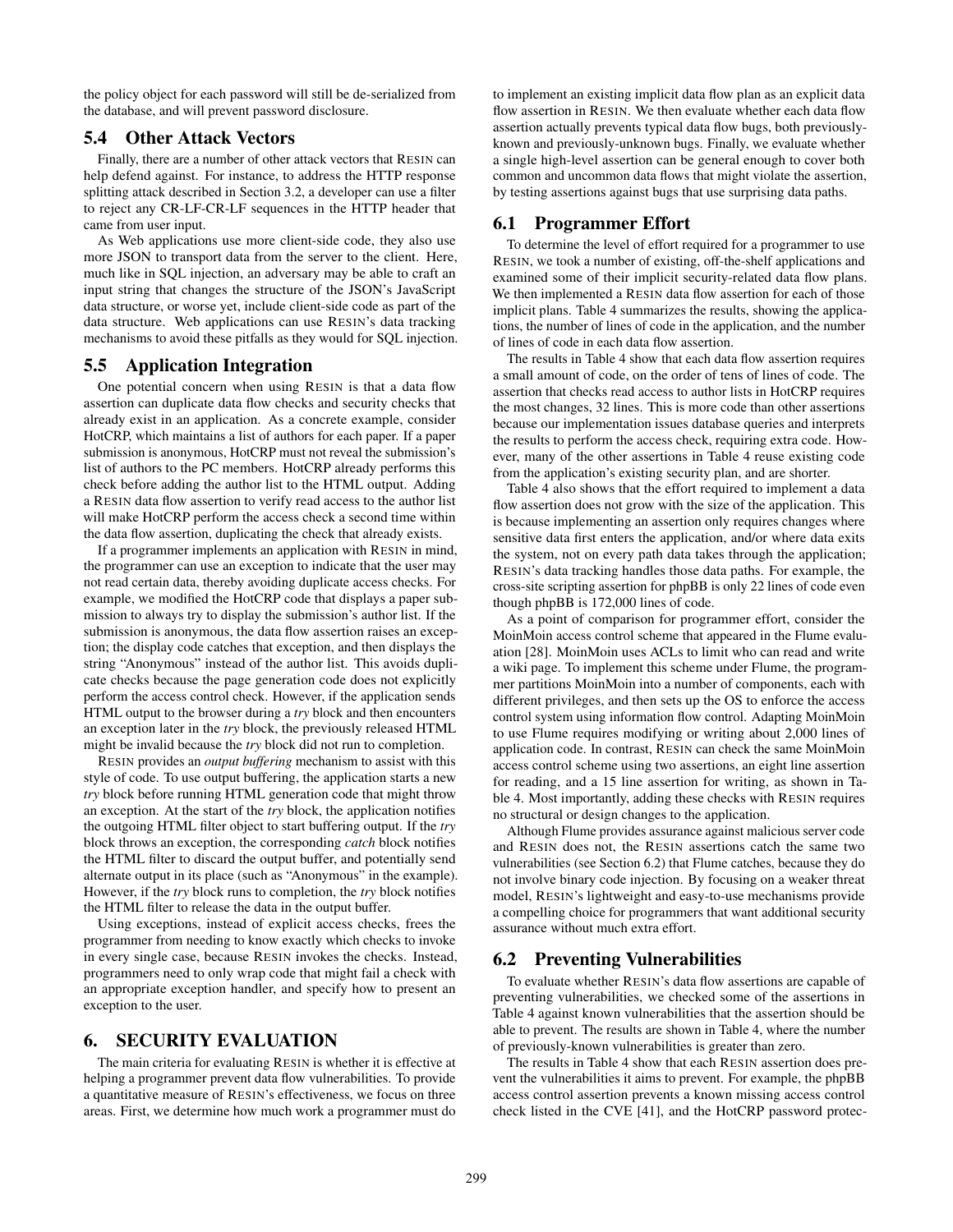the policy object for each password will still be de-serialized from the database, and will prevent password disclosure.

## 5.4 Other Attack Vectors

Finally, there are a number of other attack vectors that RESIN can help defend against. For instance, to address the HTTP response splitting attack described in Section 3.2, a developer can use a filter to reject any CR-LF-CR-LF sequences in the HTTP header that came from user input.

As Web applications use more client-side code, they also use more JSON to transport data from the server to the client. Here, much like in SQL injection, an adversary may be able to craft an input string that changes the structure of the JSON's JavaScript data structure, or worse yet, include client-side code as part of the data structure. Web applications can use RESIN's data tracking mechanisms to avoid these pitfalls as they would for SQL injection.

## 5.5 Application Integration

One potential concern when using RESIN is that a data flow assertion can duplicate data flow checks and security checks that already exist in an application. As a concrete example, consider HotCRP, which maintains a list of authors for each paper. If a paper submission is anonymous, HotCRP must not reveal the submission's list of authors to the PC members. HotCRP already performs this check before adding the author list to the HTML output. Adding a RESIN data flow assertion to verify read access to the author list will make HotCRP perform the access check a second time within the data flow assertion, duplicating the check that already exists.

If a programmer implements an application with RESIN in mind, the programmer can use an exception to indicate that the user may not read certain data, thereby avoiding duplicate access checks. For example, we modified the HotCRP code that displays a paper submission to always try to display the submission's author list. If the submission is anonymous, the data flow assertion raises an exception; the display code catches that exception, and then displays the string "Anonymous" instead of the author list. This avoids duplicate checks because the page generation code does not explicitly perform the access control check. However, if the application sends HTML output to the browser during a *try* block and then encounters an exception later in the *try* block, the previously released HTML might be invalid because the *try* block did not run to completion.

RESIN provides an *output buffering* mechanism to assist with this style of code. To use output buffering, the application starts a new *try* block before running HTML generation code that might throw an exception. At the start of the *try* block, the application notifies the outgoing HTML filter object to start buffering output. If the *try* block throws an exception, the corresponding *catch* block notifies the HTML filter to discard the output buffer, and potentially send alternate output in its place (such as "Anonymous" in the example). However, if the *try* block runs to completion, the *try* block notifies the HTML filter to release the data in the output buffer.

Using exceptions, instead of explicit access checks, frees the programmer from needing to know exactly which checks to invoke in every single case, because RESIN invokes the checks. Instead, programmers need to only wrap code that might fail a check with an appropriate exception handler, and specify how to present an exception to the user.

## 6. SECURITY EVALUATION

The main criteria for evaluating RESIN is whether it is effective at helping a programmer prevent data flow vulnerabilities. To provide a quantitative measure of RESIN's effectiveness, we focus on three areas. First, we determine how much work a programmer must do

to implement an existing implicit data flow plan as an explicit data flow assertion in RESIN. We then evaluate whether each data flow assertion actually prevents typical data flow bugs, both previouslyknown and previously-unknown bugs. Finally, we evaluate whether a single high-level assertion can be general enough to cover both common and uncommon data flows that might violate the assertion, by testing assertions against bugs that use surprising data paths.

## 6.1 Programmer Effort

To determine the level of effort required for a programmer to use RESIN, we took a number of existing, off-the-shelf applications and examined some of their implicit security-related data flow plans. We then implemented a RESIN data flow assertion for each of those implicit plans. Table 4 summarizes the results, showing the applications, the number of lines of code in the application, and the number of lines of code in each data flow assertion.

The results in Table 4 show that each data flow assertion requires a small amount of code, on the order of tens of lines of code. The assertion that checks read access to author lists in HotCRP requires the most changes, 32 lines. This is more code than other assertions because our implementation issues database queries and interprets the results to perform the access check, requiring extra code. However, many of the other assertions in Table 4 reuse existing code from the application's existing security plan, and are shorter.

Table 4 also shows that the effort required to implement a data flow assertion does not grow with the size of the application. This is because implementing an assertion only requires changes where sensitive data first enters the application, and/or where data exits the system, not on every path data takes through the application; RESIN's data tracking handles those data paths. For example, the cross-site scripting assertion for phpBB is only 22 lines of code even though phpBB is 172,000 lines of code.

As a point of comparison for programmer effort, consider the MoinMoin access control scheme that appeared in the Flume evaluation [28]. MoinMoin uses ACLs to limit who can read and write a wiki page. To implement this scheme under Flume, the programmer partitions MoinMoin into a number of components, each with different privileges, and then sets up the OS to enforce the access control system using information flow control. Adapting MoinMoin to use Flume requires modifying or writing about 2,000 lines of application code. In contrast, RESIN can check the same MoinMoin access control scheme using two assertions, an eight line assertion for reading, and a 15 line assertion for writing, as shown in Table 4. Most importantly, adding these checks with RESIN requires no structural or design changes to the application.

Although Flume provides assurance against malicious server code and RESIN does not, the RESIN assertions catch the same two vulnerabilities (see Section 6.2) that Flume catches, because they do not involve binary code injection. By focusing on a weaker threat model, RESIN's lightweight and easy-to-use mechanisms provide a compelling choice for programmers that want additional security assurance without much extra effort.

# 6.2 Preventing Vulnerabilities

To evaluate whether RESIN's data flow assertions are capable of preventing vulnerabilities, we checked some of the assertions in Table 4 against known vulnerabilities that the assertion should be able to prevent. The results are shown in Table 4, where the number of previously-known vulnerabilities is greater than zero.

The results in Table 4 show that each RESIN assertion does prevent the vulnerabilities it aims to prevent. For example, the phpBB access control assertion prevents a known missing access control check listed in the CVE [41], and the HotCRP password protec-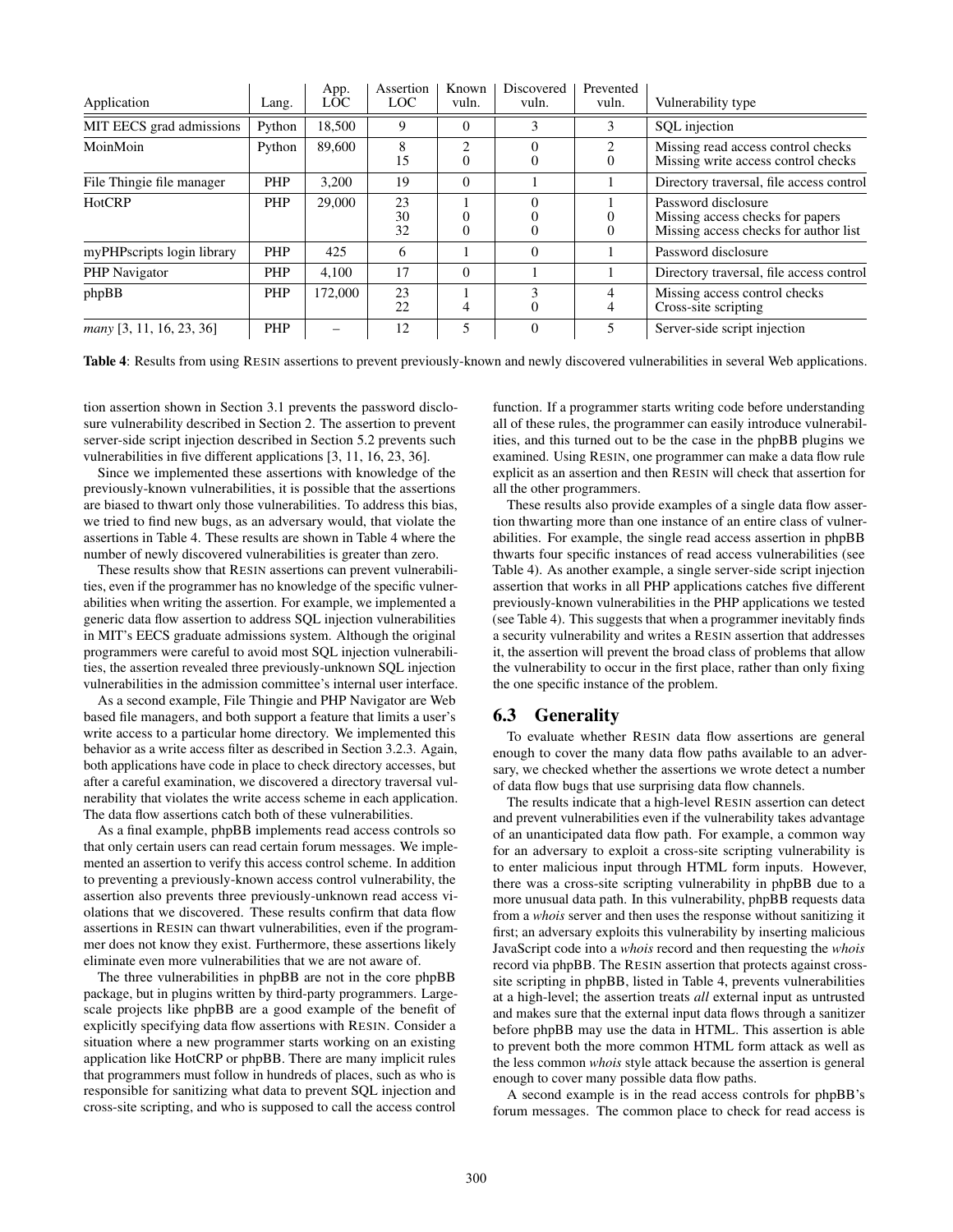| Application                | Lang.      | App.<br><b>LOC</b> | Assertion<br>LOC | Known<br>vuln.             | Discovered<br>vuln. | Prevented<br>vuln. | Vulnerability type                                                                               |
|----------------------------|------------|--------------------|------------------|----------------------------|---------------------|--------------------|--------------------------------------------------------------------------------------------------|
| MIT EECS grad admissions   | Python     | 18,500             | 9                | $\Omega$                   | 3                   | 3                  | SQL injection                                                                                    |
| MoinMoin                   | Python     | 89,600             | 8<br>15          | $\overline{2}$<br>$\Omega$ | U                   | 2<br>$\Omega$      | Missing read access control checks<br>Missing write access control checks                        |
| File Thingie file manager  | PHP        | 3.200              | 19               | $\theta$                   |                     |                    | Directory traversal, file access control                                                         |
| HotCRP                     | PHP        | 29,000             | 23<br>30<br>32   | 0<br>$\theta$              |                     | $\Omega$           | Password disclosure<br>Missing access checks for papers<br>Missing access checks for author list |
| myPHPscripts login library | PHP        | 425                | 6                |                            | $\Omega$            |                    | Password disclosure                                                                              |
| PHP Navigator              | PHP        | 4.100              | 17               | $\theta$                   |                     |                    | Directory traversal, file access control                                                         |
| phpBB                      | PHP        | 172,000            | 23<br>22         | 4                          | 3<br>$\Omega$       | 4<br>4             | Missing access control checks<br>Cross-site scripting                                            |
| many [3, 11, 16, 23, 36]   | <b>PHP</b> |                    | 12               | 5                          | $\theta$            |                    | Server-side script injection                                                                     |

Table 4: Results from using RESIN assertions to prevent previously-known and newly discovered vulnerabilities in several Web applications.

tion assertion shown in Section 3.1 prevents the password disclosure vulnerability described in Section 2. The assertion to prevent server-side script injection described in Section 5.2 prevents such vulnerabilities in five different applications [3, 11, 16, 23, 36].

Since we implemented these assertions with knowledge of the previously-known vulnerabilities, it is possible that the assertions are biased to thwart only those vulnerabilities. To address this bias, we tried to find new bugs, as an adversary would, that violate the assertions in Table 4. These results are shown in Table 4 where the number of newly discovered vulnerabilities is greater than zero.

These results show that RESIN assertions can prevent vulnerabilities, even if the programmer has no knowledge of the specific vulnerabilities when writing the assertion. For example, we implemented a generic data flow assertion to address SQL injection vulnerabilities in MIT's EECS graduate admissions system. Although the original programmers were careful to avoid most SQL injection vulnerabilities, the assertion revealed three previously-unknown SQL injection vulnerabilities in the admission committee's internal user interface.

As a second example, File Thingie and PHP Navigator are Web based file managers, and both support a feature that limits a user's write access to a particular home directory. We implemented this behavior as a write access filter as described in Section 3.2.3. Again, both applications have code in place to check directory accesses, but after a careful examination, we discovered a directory traversal vulnerability that violates the write access scheme in each application. The data flow assertions catch both of these vulnerabilities.

As a final example, phpBB implements read access controls so that only certain users can read certain forum messages. We implemented an assertion to verify this access control scheme. In addition to preventing a previously-known access control vulnerability, the assertion also prevents three previously-unknown read access violations that we discovered. These results confirm that data flow assertions in RESIN can thwart vulnerabilities, even if the programmer does not know they exist. Furthermore, these assertions likely eliminate even more vulnerabilities that we are not aware of.

The three vulnerabilities in phpBB are not in the core phpBB package, but in plugins written by third-party programmers. Largescale projects like phpBB are a good example of the benefit of explicitly specifying data flow assertions with RESIN. Consider a situation where a new programmer starts working on an existing application like HotCRP or phpBB. There are many implicit rules that programmers must follow in hundreds of places, such as who is responsible for sanitizing what data to prevent SQL injection and cross-site scripting, and who is supposed to call the access control

function. If a programmer starts writing code before understanding all of these rules, the programmer can easily introduce vulnerabilities, and this turned out to be the case in the phpBB plugins we examined. Using RESIN, one programmer can make a data flow rule explicit as an assertion and then RESIN will check that assertion for all the other programmers.

These results also provide examples of a single data flow assertion thwarting more than one instance of an entire class of vulnerabilities. For example, the single read access assertion in phpBB thwarts four specific instances of read access vulnerabilities (see Table 4). As another example, a single server-side script injection assertion that works in all PHP applications catches five different previously-known vulnerabilities in the PHP applications we tested (see Table 4). This suggests that when a programmer inevitably finds a security vulnerability and writes a RESIN assertion that addresses it, the assertion will prevent the broad class of problems that allow the vulnerability to occur in the first place, rather than only fixing the one specific instance of the problem.

# 6.3 Generality

To evaluate whether RESIN data flow assertions are general enough to cover the many data flow paths available to an adversary, we checked whether the assertions we wrote detect a number of data flow bugs that use surprising data flow channels.

The results indicate that a high-level RESIN assertion can detect and prevent vulnerabilities even if the vulnerability takes advantage of an unanticipated data flow path. For example, a common way for an adversary to exploit a cross-site scripting vulnerability is to enter malicious input through HTML form inputs. However, there was a cross-site scripting vulnerability in phpBB due to a more unusual data path. In this vulnerability, phpBB requests data from a *whois* server and then uses the response without sanitizing it first; an adversary exploits this vulnerability by inserting malicious JavaScript code into a *whois* record and then requesting the *whois* record via phpBB. The RESIN assertion that protects against crosssite scripting in phpBB, listed in Table 4, prevents vulnerabilities at a high-level; the assertion treats *all* external input as untrusted and makes sure that the external input data flows through a sanitizer before phpBB may use the data in HTML. This assertion is able to prevent both the more common HTML form attack as well as the less common *whois* style attack because the assertion is general enough to cover many possible data flow paths.

A second example is in the read access controls for phpBB's forum messages. The common place to check for read access is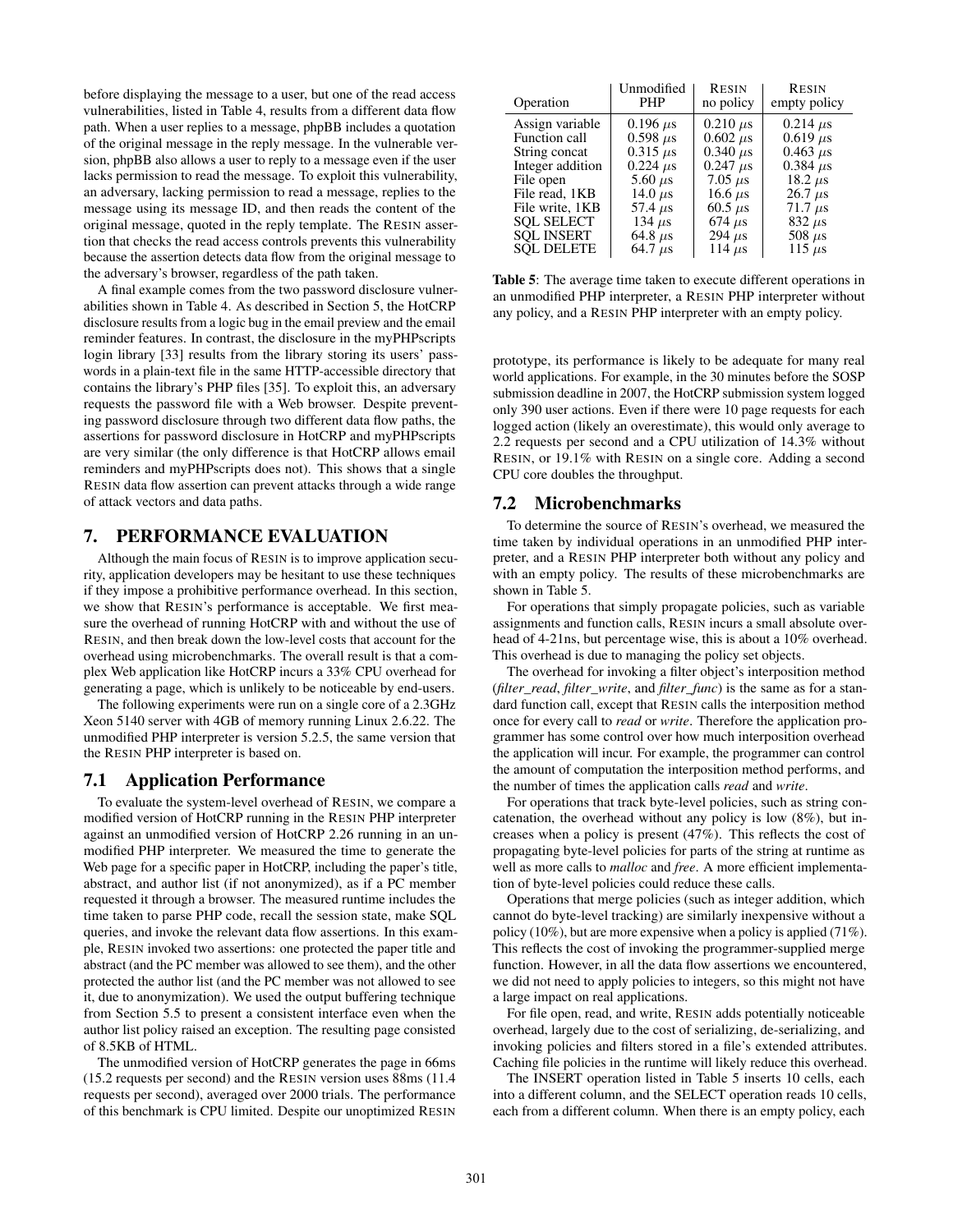before displaying the message to a user, but one of the read access vulnerabilities, listed in Table 4, results from a different data flow path. When a user replies to a message, phpBB includes a quotation of the original message in the reply message. In the vulnerable version, phpBB also allows a user to reply to a message even if the user lacks permission to read the message. To exploit this vulnerability, an adversary, lacking permission to read a message, replies to the message using its message ID, and then reads the content of the original message, quoted in the reply template. The RESIN assertion that checks the read access controls prevents this vulnerability because the assertion detects data flow from the original message to the adversary's browser, regardless of the path taken.

A final example comes from the two password disclosure vulnerabilities shown in Table 4. As described in Section 5, the HotCRP disclosure results from a logic bug in the email preview and the email reminder features. In contrast, the disclosure in the myPHPscripts login library [33] results from the library storing its users' passwords in a plain-text file in the same HTTP-accessible directory that contains the library's PHP files [35]. To exploit this, an adversary requests the password file with a Web browser. Despite preventing password disclosure through two different data flow paths, the assertions for password disclosure in HotCRP and myPHPscripts are very similar (the only difference is that HotCRP allows email reminders and myPHPscripts does not). This shows that a single RESIN data flow assertion can prevent attacks through a wide range of attack vectors and data paths.

## 7. PERFORMANCE EVALUATION

Although the main focus of RESIN is to improve application security, application developers may be hesitant to use these techniques if they impose a prohibitive performance overhead. In this section, we show that RESIN's performance is acceptable. We first measure the overhead of running HotCRP with and without the use of RESIN, and then break down the low-level costs that account for the overhead using microbenchmarks. The overall result is that a complex Web application like HotCRP incurs a 33% CPU overhead for generating a page, which is unlikely to be noticeable by end-users.

The following experiments were run on a single core of a 2.3GHz Xeon 5140 server with 4GB of memory running Linux 2.6.22. The unmodified PHP interpreter is version 5.2.5, the same version that the RESIN PHP interpreter is based on.

#### 7.1 Application Performance

To evaluate the system-level overhead of RESIN, we compare a modified version of HotCRP running in the RESIN PHP interpreter against an unmodified version of HotCRP 2.26 running in an unmodified PHP interpreter. We measured the time to generate the Web page for a specific paper in HotCRP, including the paper's title, abstract, and author list (if not anonymized), as if a PC member requested it through a browser. The measured runtime includes the time taken to parse PHP code, recall the session state, make SQL queries, and invoke the relevant data flow assertions. In this example, RESIN invoked two assertions: one protected the paper title and abstract (and the PC member was allowed to see them), and the other protected the author list (and the PC member was not allowed to see it, due to anonymization). We used the output buffering technique from Section 5.5 to present a consistent interface even when the author list policy raised an exception. The resulting page consisted of 8.5KB of HTML.

The unmodified version of HotCRP generates the page in 66ms (15.2 requests per second) and the RESIN version uses 88ms (11.4 requests per second), averaged over 2000 trials. The performance of this benchmark is CPU limited. Despite our unoptimized RESIN

| Operation         | Unmodified<br><b>PHP</b> | <b>RESIN</b><br>no policy | <b>RESIN</b><br>empty policy |
|-------------------|--------------------------|---------------------------|------------------------------|
| Assign variable   | $0.196 \,\mu s$          | $0.210 \mu s$             | $0.214 \mu s$                |
| Function call     | $0.598 \,\mu s$          | $0.602 \mu s$             | $0.619 \,\mu s$              |
| String concat     | $0.315 \,\mu s$          | $0.340 \,\mu s$           | $0.463 \,\mu s$              |
| Integer addition  | $0.224 \mu s$            | $0.247 \,\mu s$           | $0.384 \,\mu s$              |
| File open         | $5.60 \mu s$             | 7.05 $\mu$ s              | 18.2 $\mu$ s                 |
| File read, 1KB    | 14.0 $\mu$ s             | 16.6 $\mu$ s              | $26.7 \mu s$                 |
| File write, 1KB   | 57.4 $\mu$ s             | $60.5 \ \mu s$            | $71.7 \mu s$                 |
| <b>SOL SELECT</b> | 134 $\mu$ s              | $674 \mu s$               | $832 \mu s$                  |
| <b>SOL INSERT</b> | 64.8 $\mu$ s             | 294 $\mu$ s               | 508 $\mu$ s                  |
| <b>SOL DELETE</b> | 64.7 $\mu$ s             | 114 $\mu$ s               | 115 $\mu$ s                  |

Table 5: The average time taken to execute different operations in an unmodified PHP interpreter, a RESIN PHP interpreter without any policy, and a RESIN PHP interpreter with an empty policy.

prototype, its performance is likely to be adequate for many real world applications. For example, in the 30 minutes before the SOSP submission deadline in 2007, the HotCRP submission system logged only 390 user actions. Even if there were 10 page requests for each logged action (likely an overestimate), this would only average to 2.2 requests per second and a CPU utilization of 14.3% without RESIN, or 19.1% with RESIN on a single core. Adding a second CPU core doubles the throughput.

#### 7.2 Microbenchmarks

To determine the source of RESIN's overhead, we measured the time taken by individual operations in an unmodified PHP interpreter, and a RESIN PHP interpreter both without any policy and with an empty policy. The results of these microbenchmarks are shown in Table 5.

For operations that simply propagate policies, such as variable assignments and function calls, RESIN incurs a small absolute overhead of 4-21ns, but percentage wise, this is about a 10% overhead. This overhead is due to managing the policy set objects.

The overhead for invoking a filter object's interposition method (*filter\_read*, *filter\_write*, and *filter\_func*) is the same as for a standard function call, except that RESIN calls the interposition method once for every call to *read* or *write*. Therefore the application programmer has some control over how much interposition overhead the application will incur. For example, the programmer can control the amount of computation the interposition method performs, and the number of times the application calls *read* and *write*.

For operations that track byte-level policies, such as string concatenation, the overhead without any policy is low (8%), but increases when a policy is present (47%). This reflects the cost of propagating byte-level policies for parts of the string at runtime as well as more calls to *malloc* and *free*. A more efficient implementation of byte-level policies could reduce these calls.

Operations that merge policies (such as integer addition, which cannot do byte-level tracking) are similarly inexpensive without a policy (10%), but are more expensive when a policy is applied (71%). This reflects the cost of invoking the programmer-supplied merge function. However, in all the data flow assertions we encountered, we did not need to apply policies to integers, so this might not have a large impact on real applications.

For file open, read, and write, RESIN adds potentially noticeable overhead, largely due to the cost of serializing, de-serializing, and invoking policies and filters stored in a file's extended attributes. Caching file policies in the runtime will likely reduce this overhead.

The INSERT operation listed in Table 5 inserts 10 cells, each into a different column, and the SELECT operation reads 10 cells, each from a different column. When there is an empty policy, each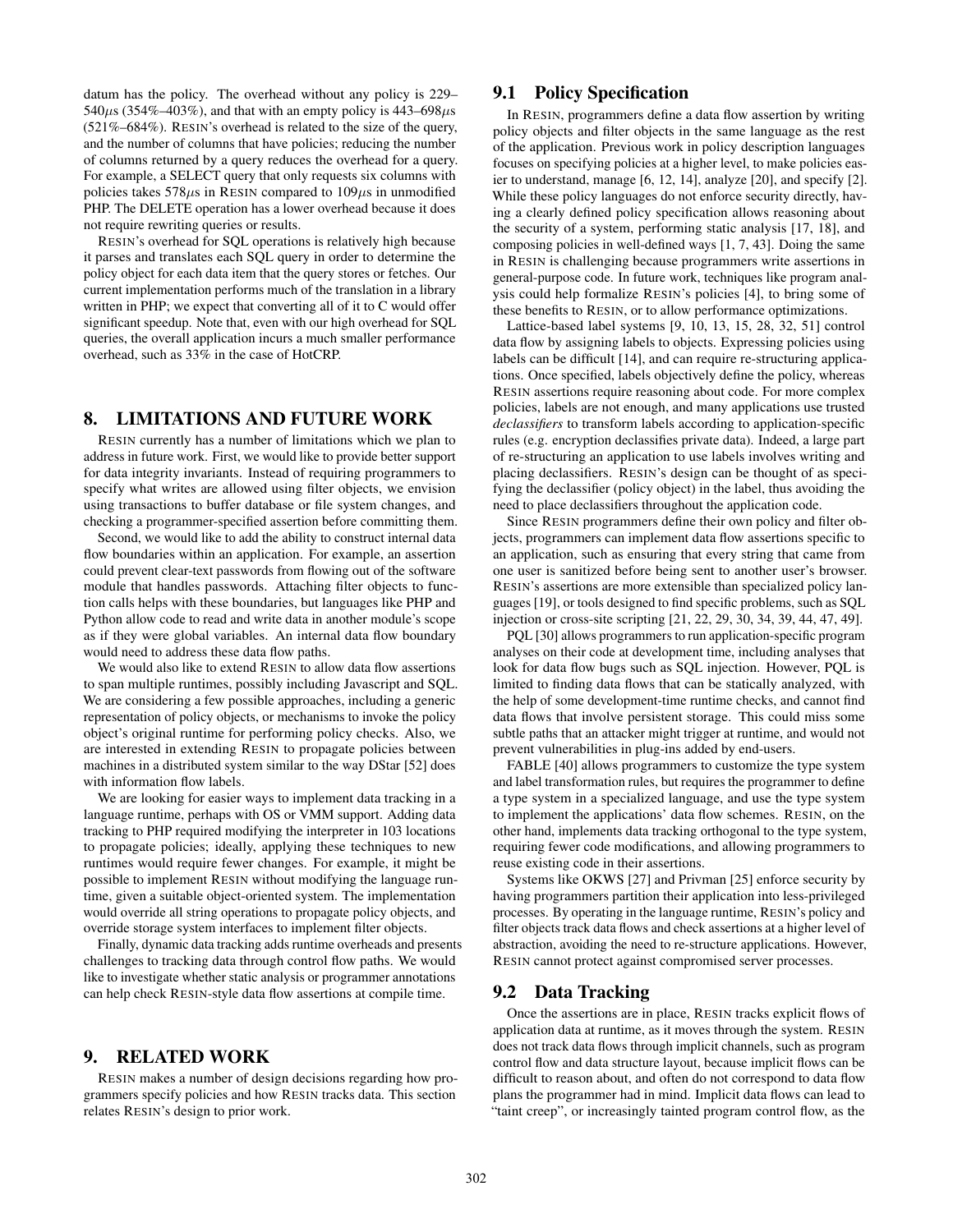datum has the policy. The overhead without any policy is 229–  $540\mu$ s (354%–403%), and that with an empty policy is 443–698 $\mu$ s (521%–684%). RESIN's overhead is related to the size of the query, and the number of columns that have policies; reducing the number of columns returned by a query reduces the overhead for a query. For example, a SELECT query that only requests six columns with policies takes  $578\mu s$  in RESIN compared to  $109\mu s$  in unmodified PHP. The DELETE operation has a lower overhead because it does not require rewriting queries or results.

RESIN's overhead for SQL operations is relatively high because it parses and translates each SQL query in order to determine the policy object for each data item that the query stores or fetches. Our current implementation performs much of the translation in a library written in PHP; we expect that converting all of it to C would offer significant speedup. Note that, even with our high overhead for SQL queries, the overall application incurs a much smaller performance overhead, such as 33% in the case of HotCRP.

# 8. LIMITATIONS AND FUTURE WORK

RESIN currently has a number of limitations which we plan to address in future work. First, we would like to provide better support for data integrity invariants. Instead of requiring programmers to specify what writes are allowed using filter objects, we envision using transactions to buffer database or file system changes, and checking a programmer-specified assertion before committing them.

Second, we would like to add the ability to construct internal data flow boundaries within an application. For example, an assertion could prevent clear-text passwords from flowing out of the software module that handles passwords. Attaching filter objects to function calls helps with these boundaries, but languages like PHP and Python allow code to read and write data in another module's scope as if they were global variables. An internal data flow boundary would need to address these data flow paths.

We would also like to extend RESIN to allow data flow assertions to span multiple runtimes, possibly including Javascript and SQL. We are considering a few possible approaches, including a generic representation of policy objects, or mechanisms to invoke the policy object's original runtime for performing policy checks. Also, we are interested in extending RESIN to propagate policies between machines in a distributed system similar to the way DStar [52] does with information flow labels.

We are looking for easier ways to implement data tracking in a language runtime, perhaps with OS or VMM support. Adding data tracking to PHP required modifying the interpreter in 103 locations to propagate policies; ideally, applying these techniques to new runtimes would require fewer changes. For example, it might be possible to implement RESIN without modifying the language runtime, given a suitable object-oriented system. The implementation would override all string operations to propagate policy objects, and override storage system interfaces to implement filter objects.

Finally, dynamic data tracking adds runtime overheads and presents challenges to tracking data through control flow paths. We would like to investigate whether static analysis or programmer annotations can help check RESIN-style data flow assertions at compile time.

## 9. RELATED WORK

RESIN makes a number of design decisions regarding how programmers specify policies and how RESIN tracks data. This section relates RESIN's design to prior work.

## 9.1 Policy Specification

In RESIN, programmers define a data flow assertion by writing policy objects and filter objects in the same language as the rest of the application. Previous work in policy description languages focuses on specifying policies at a higher level, to make policies easier to understand, manage [6, 12, 14], analyze [20], and specify [2]. While these policy languages do not enforce security directly, having a clearly defined policy specification allows reasoning about the security of a system, performing static analysis [17, 18], and composing policies in well-defined ways [1, 7, 43]. Doing the same in RESIN is challenging because programmers write assertions in general-purpose code. In future work, techniques like program analysis could help formalize RESIN's policies [4], to bring some of these benefits to RESIN, or to allow performance optimizations.

Lattice-based label systems [9, 10, 13, 15, 28, 32, 51] control data flow by assigning labels to objects. Expressing policies using labels can be difficult [14], and can require re-structuring applications. Once specified, labels objectively define the policy, whereas RESIN assertions require reasoning about code. For more complex policies, labels are not enough, and many applications use trusted *declassifiers* to transform labels according to application-specific rules (e.g. encryption declassifies private data). Indeed, a large part of re-structuring an application to use labels involves writing and placing declassifiers. RESIN's design can be thought of as specifying the declassifier (policy object) in the label, thus avoiding the need to place declassifiers throughout the application code.

Since RESIN programmers define their own policy and filter objects, programmers can implement data flow assertions specific to an application, such as ensuring that every string that came from one user is sanitized before being sent to another user's browser. RESIN's assertions are more extensible than specialized policy languages [19], or tools designed to find specific problems, such as SQL injection or cross-site scripting [21, 22, 29, 30, 34, 39, 44, 47, 49].

PQL [30] allows programmers to run application-specific program analyses on their code at development time, including analyses that look for data flow bugs such as SQL injection. However, PQL is limited to finding data flows that can be statically analyzed, with the help of some development-time runtime checks, and cannot find data flows that involve persistent storage. This could miss some subtle paths that an attacker might trigger at runtime, and would not prevent vulnerabilities in plug-ins added by end-users.

FABLE [40] allows programmers to customize the type system and label transformation rules, but requires the programmer to define a type system in a specialized language, and use the type system to implement the applications' data flow schemes. RESIN, on the other hand, implements data tracking orthogonal to the type system, requiring fewer code modifications, and allowing programmers to reuse existing code in their assertions.

Systems like OKWS [27] and Privman [25] enforce security by having programmers partition their application into less-privileged processes. By operating in the language runtime, RESIN's policy and filter objects track data flows and check assertions at a higher level of abstraction, avoiding the need to re-structure applications. However, RESIN cannot protect against compromised server processes.

## 9.2 Data Tracking

Once the assertions are in place, RESIN tracks explicit flows of application data at runtime, as it moves through the system. RESIN does not track data flows through implicit channels, such as program control flow and data structure layout, because implicit flows can be difficult to reason about, and often do not correspond to data flow plans the programmer had in mind. Implicit data flows can lead to "taint creep", or increasingly tainted program control flow, as the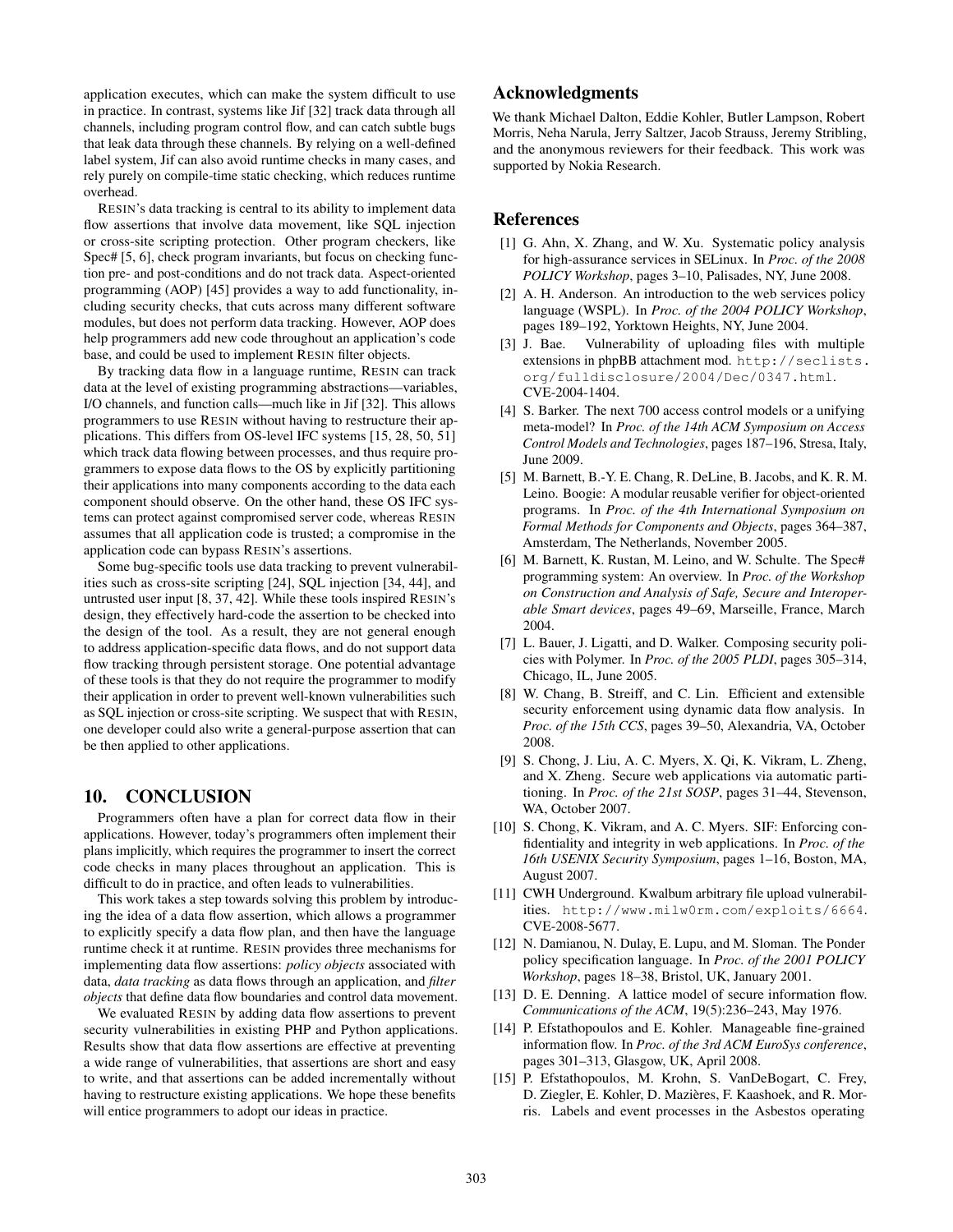application executes, which can make the system difficult to use in practice. In contrast, systems like Jif [32] track data through all channels, including program control flow, and can catch subtle bugs that leak data through these channels. By relying on a well-defined label system, Jif can also avoid runtime checks in many cases, and rely purely on compile-time static checking, which reduces runtime overhead.

RESIN's data tracking is central to its ability to implement data flow assertions that involve data movement, like SQL injection or cross-site scripting protection. Other program checkers, like Spec# [5, 6], check program invariants, but focus on checking function pre- and post-conditions and do not track data. Aspect-oriented programming (AOP) [45] provides a way to add functionality, including security checks, that cuts across many different software modules, but does not perform data tracking. However, AOP does help programmers add new code throughout an application's code base, and could be used to implement RESIN filter objects.

By tracking data flow in a language runtime, RESIN can track data at the level of existing programming abstractions—variables, I/O channels, and function calls—much like in Jif [32]. This allows programmers to use RESIN without having to restructure their applications. This differs from OS-level IFC systems [15, 28, 50, 51] which track data flowing between processes, and thus require programmers to expose data flows to the OS by explicitly partitioning their applications into many components according to the data each component should observe. On the other hand, these OS IFC systems can protect against compromised server code, whereas RESIN assumes that all application code is trusted; a compromise in the application code can bypass RESIN's assertions.

Some bug-specific tools use data tracking to prevent vulnerabilities such as cross-site scripting [24], SQL injection [34, 44], and untrusted user input [8, 37, 42]. While these tools inspired RESIN's design, they effectively hard-code the assertion to be checked into the design of the tool. As a result, they are not general enough to address application-specific data flows, and do not support data flow tracking through persistent storage. One potential advantage of these tools is that they do not require the programmer to modify their application in order to prevent well-known vulnerabilities such as SQL injection or cross-site scripting. We suspect that with RESIN, one developer could also write a general-purpose assertion that can be then applied to other applications.

## 10. CONCLUSION

Programmers often have a plan for correct data flow in their applications. However, today's programmers often implement their plans implicitly, which requires the programmer to insert the correct code checks in many places throughout an application. This is difficult to do in practice, and often leads to vulnerabilities.

This work takes a step towards solving this problem by introducing the idea of a data flow assertion, which allows a programmer to explicitly specify a data flow plan, and then have the language runtime check it at runtime. RESIN provides three mechanisms for implementing data flow assertions: *policy objects* associated with data, *data tracking* as data flows through an application, and *filter objects* that define data flow boundaries and control data movement.

We evaluated RESIN by adding data flow assertions to prevent security vulnerabilities in existing PHP and Python applications. Results show that data flow assertions are effective at preventing a wide range of vulnerabilities, that assertions are short and easy to write, and that assertions can be added incrementally without having to restructure existing applications. We hope these benefits will entice programmers to adopt our ideas in practice.

# Acknowledgments

We thank Michael Dalton, Eddie Kohler, Butler Lampson, Robert Morris, Neha Narula, Jerry Saltzer, Jacob Strauss, Jeremy Stribling, and the anonymous reviewers for their feedback. This work was supported by Nokia Research.

## References

- [1] G. Ahn, X. Zhang, and W. Xu. Systematic policy analysis for high-assurance services in SELinux. In *Proc. of the 2008 POLICY Workshop*, pages 3–10, Palisades, NY, June 2008.
- [2] A. H. Anderson. An introduction to the web services policy language (WSPL). In *Proc. of the 2004 POLICY Workshop*, pages 189–192, Yorktown Heights, NY, June 2004.
- [3] J. Bae. Vulnerability of uploading files with multiple extensions in phpBB attachment mod. http://seclists. org/fulldisclosure/2004/Dec/0347.html. CVE-2004-1404.
- [4] S. Barker. The next 700 access control models or a unifying meta-model? In *Proc. of the 14th ACM Symposium on Access Control Models and Technologies*, pages 187–196, Stresa, Italy, June 2009.
- [5] M. Barnett, B.-Y. E. Chang, R. DeLine, B. Jacobs, and K. R. M. Leino. Boogie: A modular reusable verifier for object-oriented programs. In *Proc. of the 4th International Symposium on Formal Methods for Components and Objects*, pages 364–387, Amsterdam, The Netherlands, November 2005.
- [6] M. Barnett, K. Rustan, M. Leino, and W. Schulte. The Spec# programming system: An overview. In *Proc. of the Workshop on Construction and Analysis of Safe, Secure and Interoperable Smart devices*, pages 49–69, Marseille, France, March 2004.
- [7] L. Bauer, J. Ligatti, and D. Walker. Composing security policies with Polymer. In *Proc. of the 2005 PLDI*, pages 305–314, Chicago, IL, June 2005.
- [8] W. Chang, B. Streiff, and C. Lin. Efficient and extensible security enforcement using dynamic data flow analysis. In *Proc. of the 15th CCS*, pages 39–50, Alexandria, VA, October 2008.
- [9] S. Chong, J. Liu, A. C. Myers, X. Qi, K. Vikram, L. Zheng, and X. Zheng. Secure web applications via automatic partitioning. In *Proc. of the 21st SOSP*, pages 31–44, Stevenson, WA, October 2007.
- [10] S. Chong, K. Vikram, and A. C. Myers. SIF: Enforcing confidentiality and integrity in web applications. In *Proc. of the 16th USENIX Security Symposium*, pages 1–16, Boston, MA, August 2007.
- [11] CWH Underground. Kwalbum arbitrary file upload vulnerabilities. http://www.milw0rm.com/exploits/6664. CVE-2008-5677.
- [12] N. Damianou, N. Dulay, E. Lupu, and M. Sloman. The Ponder policy specification language. In *Proc. of the 2001 POLICY Workshop*, pages 18–38, Bristol, UK, January 2001.
- [13] D. E. Denning. A lattice model of secure information flow. *Communications of the ACM*, 19(5):236–243, May 1976.
- [14] P. Efstathopoulos and E. Kohler. Manageable fine-grained information flow. In *Proc. of the 3rd ACM EuroSys conference*, pages 301–313, Glasgow, UK, April 2008.
- [15] P. Efstathopoulos, M. Krohn, S. VanDeBogart, C. Frey, D. Ziegler, E. Kohler, D. Mazières, F. Kaashoek, and R. Morris. Labels and event processes in the Asbestos operating